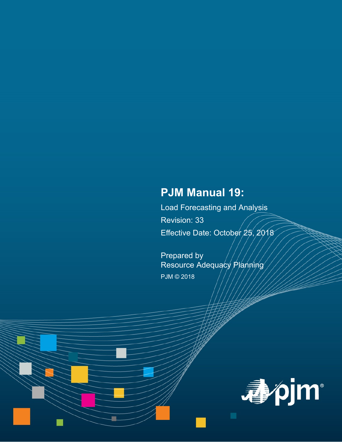# **PJM Manual 19:**

Load Forecasting and Analysis Revision: 33 Effective Date: October 25, 2018

Prepared by Resource Adequacy Planning PJM © 2018

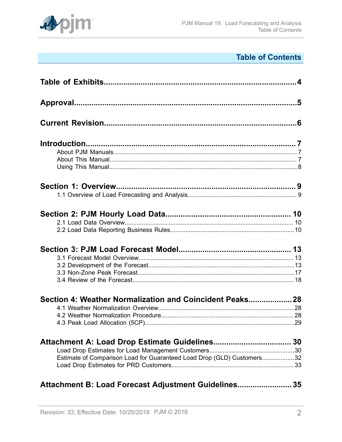

# **Table of Contents**

| Section 4: Weather Normalization and Coincident Peaks 28               |  |
|------------------------------------------------------------------------|--|
|                                                                        |  |
|                                                                        |  |
|                                                                        |  |
|                                                                        |  |
|                                                                        |  |
| Estimate of Comparison Load for Guaranteed Load Drop (GLD) Customers32 |  |
|                                                                        |  |
| Attachment B: Load Forecast Adjustment Guidelines 35                   |  |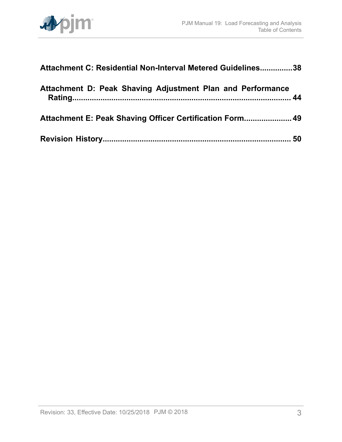

| Attachment C: Residential Non-Interval Metered Guidelines38 |  |
|-------------------------------------------------------------|--|
| Attachment D: Peak Shaving Adjustment Plan and Performance  |  |
| Attachment E: Peak Shaving Officer Certification Form 49    |  |
|                                                             |  |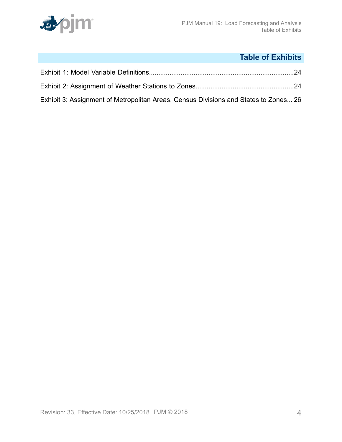

# **Table of Exhibits**

<span id="page-3-0"></span>

| Exhibit 3: Assignment of Metropolitan Areas, Census Divisions and States to Zones 26 |  |
|--------------------------------------------------------------------------------------|--|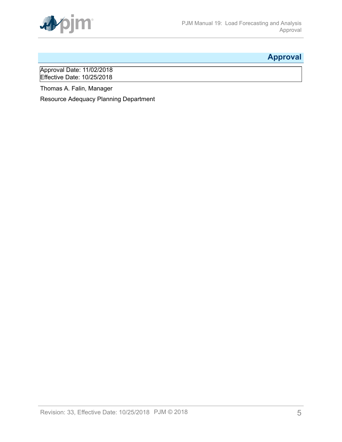

# <span id="page-4-0"></span>**Approval**

Approval Date: 11/02/2018 Effective Date: 10/25/2018

Thomas A. Falin, Manager

Resource Adequacy Planning Department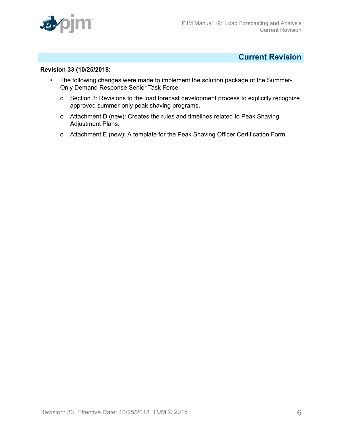

# <span id="page-5-0"></span>**Current Revision**

### **Revision 33 (10/25/2018:**

- The following changes were made to implement the solution package of the Summer-Only Demand Response Senior Task Force:
	- o Section 3: Revisions to the load forecast development process to explicitly recognize approved summer-only peak shaving programs.
	- o Attachment D (new): Creates the rules and timelines related to Peak Shaving Adjustment Plans.
	- o Attachment E (new): A template for the Peak Shaving Officer Certification Form.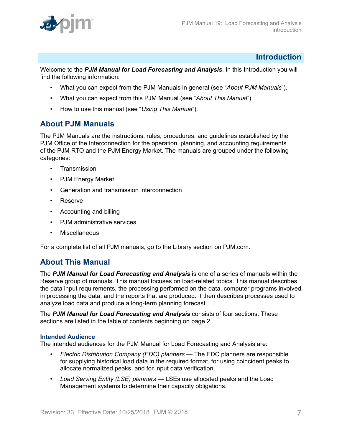

# <span id="page-6-0"></span>**Introduction**

Welcome to the *PJM Manual for Load Forecasting and Analysis*. In this Introduction you will find the following information:

- What you can expect from the PJM Manuals in general (see "*About PJM Manuals*").
- What you can expect from this PJM Manual (see "*About This Manual*")
- How to use this manual (see "*Using This Manual*").

# <span id="page-6-1"></span>**About PJM Manuals**

The PJM Manuals are the instructions, rules, procedures, and guidelines established by the PJM Office of the Interconnection for the operation, planning, and accounting requirements of the PJM RTO and the PJM Energy Market. The manuals are grouped under the following categories:

- Transmission
- PJM Energy Market
- Generation and transmission interconnection
- Reserve
- Accounting and billing
- PJM administrative services
- Miscellaneous

For a complete list of all PJM manuals, go to the Library section on PJM.com.

# <span id="page-6-2"></span>**About This Manual**

The *PJM Manual for Load Forecasting and Analysis* is one of a series of manuals within the Reserve group of manuals. This manual focuses on load-related topics. This manual describes the data input requirements, the processing performed on the data, computer programs involved in processing the data, and the reports that are produced. It then describes processes used to analyze load data and produce a long-term planning forecast.

The *PJM Manual for Load Forecasting and Analysis* consists of four sections. These sections are listed in the table of contents beginning on page 2.

## **Intended Audience**

The intended audiences for the PJM Manual for Load Forecasting and Analysis are:

- *Electric Distribution Company (EDC) planners* The EDC planners are responsible for supplying historical load data in the required format, for using coincident peaks to allocate normalized peaks, and for input data verification.
- *Load Serving Entity (LSE) planners*  LSEs use allocated peaks and the Load Management systems to determine their capacity obligations.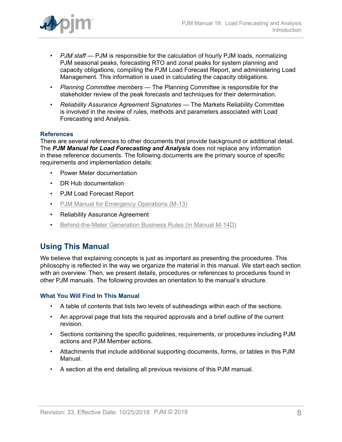

- *PJM staff* PJM is responsible for the calculation of hourly PJM loads, normalizing PJM seasonal peaks, forecasting RTO and zonal peaks for system planning and capacity obligations, compiling the PJM Load Forecast Report, and administering Load Management. This information is used in calculating the capacity obligations.
- *Planning Committee members* The Planning Committee is responsible for the stakeholder review of the peak forecasts and techniques for their determination.
- *Reliability Assurance Agreement Signatories* The Markets Reliability Committee is involved in the review of rules, methods and parameters associated with Load Forecasting and Analysis.

## **References**

There are several references to other documents that provide background or additional detail. The *PJM Manual for Load Forecasting and Analysis* does not replace any information in these reference documents. The following documents are the primary source of specific requirements and implementation details:

- Power Meter documentation
- DR Hub documentation
- PJM Load Forecast Report
- [PJM Manual for Emergency Operations \(M-13\)](http://pjm.com/~/media/documents/manuals/m13.ashx)
- Reliability Assurance Agreement
- [Behind-the-Meter Generation Business Rules \(in Manual M-14D\)](http://pjm.com/~/media/documents/manuals/m14d.ashx)

# <span id="page-7-0"></span>**Using This Manual**

We believe that explaining concepts is just as important as presenting the procedures. This philosophy is reflected in the way we organize the material in this manual. We start each section with an overview. Then, we present details, procedures or references to procedures found in other PJM manuals. The following provides an orientation to the manual's structure.

### **What You Will Find In This Manual**

- A table of contents that lists two levels of subheadings within each of the sections.
- An approval page that lists the required approvals and a brief outline of the current revision.
- Sections containing the specific guidelines, requirements, or procedures including PJM actions and PJM Member actions.
- Attachments that include additional supporting documents, forms, or tables in this PJM Manual.
- A section at the end detailing all previous revisions of this PJM manual.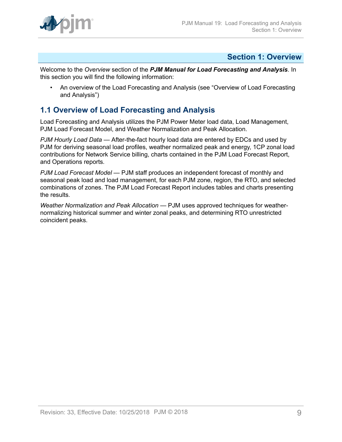# <span id="page-8-0"></span>**Section 1: Overview**

Welcome to the *Overview* section of the *PJM Manual for Load Forecasting and Analysis*. In this section you will find the following information:

• An overview of the Load Forecasting and Analysis (see "Overview of Load Forecasting and Analysis")

# <span id="page-8-1"></span>**1.1 Overview of Load Forecasting and Analysis**

Load Forecasting and Analysis utilizes the PJM Power Meter load data, Load Management, PJM Load Forecast Model, and Weather Normalization and Peak Allocation.

*PJM Hourly Load Data* — After-the-fact hourly load data are entered by EDCs and used by PJM for deriving seasonal load profiles, weather normalized peak and energy, 1CP zonal load contributions for Network Service billing, charts contained in the PJM Load Forecast Report, and Operations reports*.*

*PJM Load Forecast Model* — PJM staff produces an independent forecast of monthly and seasonal peak load and load management, for each PJM zone, region, the RTO, and selected combinations of zones. The PJM Load Forecast Report includes tables and charts presenting the results*.*

*Weather Normalization and Peak Allocation* — PJM uses approved techniques for weathernormalizing historical summer and winter zonal peaks, and determining RTO unrestricted coincident peaks.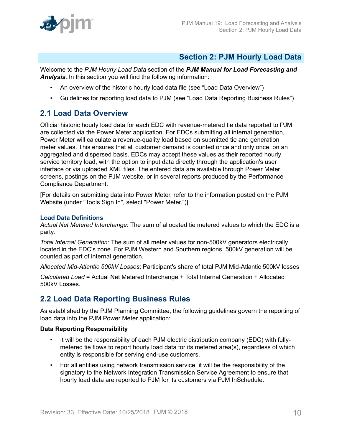

# <span id="page-9-0"></span>**Section 2: PJM Hourly Load Data**

Welcome to the *PJM Hourly Load Data* section of the *PJM Manual for Load Forecasting and Analysis*. In this section you will find the following information:

- An overview of the historic hourly load data file (see "Load Data Overview")
- Guidelines for reporting load data to PJM (see "Load Data Reporting Business Rules")

# <span id="page-9-1"></span>**2.1 Load Data Overview**

Official historic hourly load data for each EDC with revenue-metered tie data reported to PJM are collected via the Power Meter application. For EDCs submitting all internal generation, Power Meter will calculate a revenue-quality load based on submitted tie and generation meter values. This ensures that all customer demand is counted once and only once, on an aggregated and dispersed basis. EDCs may accept these values as their reported hourly service territory load, with the option to input data directly through the application's user interface or via uploaded XML files. The entered data are available through Power Meter screens, postings on the PJM website, or in several reports produced by the Performance Compliance Department.

[For details on submitting data into Power Meter, refer to the information posted on the PJM Website (under "Tools Sign In", select "Power Meter.")]

### **Load Data Definitions**

*Actual Net Metered Interchange*: The sum of allocated tie metered values to which the EDC is a party.

*Total Internal Generation*: The sum of all meter values for non-500kV generators electrically located in the EDC's zone. For PJM Western and Southern regions, 500kV generation will be counted as part of internal generation.

*Allocated Mid-Atlantic 500kV Losses*: Participant's share of total PJM Mid-Atlantic 500kV losses

*Calculated Load* = Actual Net Metered Interchange + Total Internal Generation + Allocated 500kV Losses.

# <span id="page-9-2"></span>**2.2 Load Data Reporting Business Rules**

As established by the PJM Planning Committee, the following guidelines govern the reporting of load data into the PJM Power Meter application:

## **Data Reporting Responsibility**

- It will be the responsibility of each PJM electric distribution company (EDC) with fullymetered tie flows to report hourly load data for its metered area(s), regardless of which entity is responsible for serving end-use customers.
- For all entities using network transmission service, it will be the responsibility of the signatory to the Network Integration Transmission Service Agreement to ensure that hourly load data are reported to PJM for its customers via PJM InSchedule.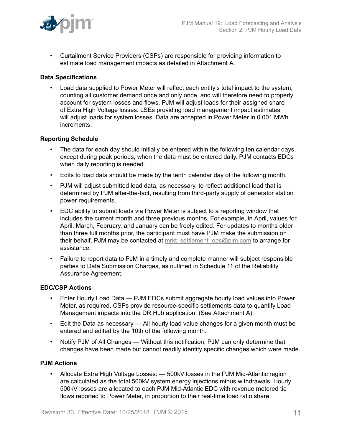

• Curtailment Service Providers (CSPs) are responsible for providing information to estimate load management impacts as detailed in Attachment A.

## **Data Specifications**

• Load data supplied to Power Meter will reflect each entity's total impact to the system, counting all customer demand once and only once, and will therefore need to properly account for system losses and flows. PJM will adjust loads for their assigned share of Extra High Voltage losses. LSEs providing load management impact estimates will adjust loads for system losses. Data are accepted in Power Meter in 0.001 MWh increments.

### **Reporting Schedule**

- The data for each day should initially be entered within the following ten calendar days, except during peak periods, when the data must be entered daily. PJM contacts EDCs when daily reporting is needed.
- Edits to load data should be made by the tenth calendar day of the following month.
- PJM will adjust submitted load data, as necessary, to reflect additional load that is determined by PJM after-the-fact, resulting from third-party supply of generator station power requirements.
- EDC ability to submit loads via Power Meter is subject to a reporting window that includes the current month and three previous months. For example, in April, values for April, March, February, and January can be freely edited. For updates to months older than three full months prior, the participant must have PJM make the submission on their behalf. PJM may be contacted at mrkt settlement ops@pjm.com to arrange for assistance.
- Failure to report data to PJM in a timely and complete manner will subject responsible parties to Data Submission Charges, as outlined in Schedule 11 of the Reliability Assurance Agreement.

### **EDC/CSP Actions**

- Enter Hourly Load Data PJM EDCs submit aggregate hourly load values into Power Meter, as required. CSPs provide resource-specific settlements data to quantify Load Management impacts into the DR Hub application. (See Attachment A).
- Edit the Data as necessary All hourly load value changes for a given month must be entered and edited by the 10th of the following month.
- Notify PJM of All Changes Without this notification, PJM can only determine that changes have been made but cannot readily identify specific changes which were made.

## **PJM Actions**

• Allocate Extra High Voltage Losses: — 500kV losses in the PJM Mid-Atlantic region are calculated as the total 500kV system energy injections minus withdrawals. Hourly 500kV losses are allocated to each PJM Mid-Atlantic EDC with revenue metered tie flows reported to Power Meter, in proportion to their real-time load ratio share.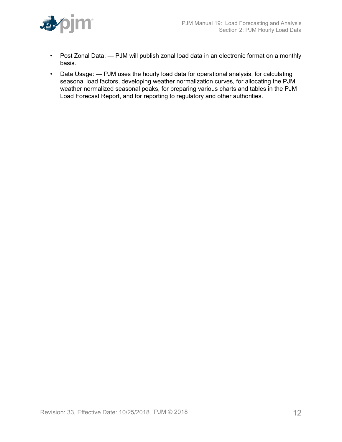

- Post Zonal Data: PJM will publish zonal load data in an electronic format on a monthly basis.
- Data Usage: PJM uses the hourly load data for operational analysis, for calculating seasonal load factors, developing weather normalization curves, for allocating the PJM weather normalized seasonal peaks, for preparing various charts and tables in the PJM Load Forecast Report, and for reporting to regulatory and other authorities.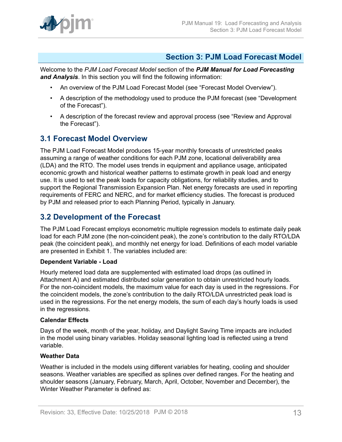

# <span id="page-12-0"></span>**Section 3: PJM Load Forecast Model**

Welcome to the *PJM Load Forecast Model* section of the *PJM Manual for Load Forecasting and Analysis*. In this section you will find the following information:

- An overview of the PJM Load Forecast Model (see "Forecast Model Overview").
- A description of the methodology used to produce the PJM forecast (see "Development of the Forecast").
- A description of the forecast review and approval process (see "Review and Approval the Forecast").

# <span id="page-12-1"></span>**3.1 Forecast Model Overview**

The PJM Load Forecast Model produces 15-year monthly forecasts of unrestricted peaks assuming a range of weather conditions for each PJM zone, locational deliverability area (LDA) and the RTO. The model uses trends in equipment and appliance usage, anticipated economic growth and historical weather patterns to estimate growth in peak load and energy use. It is used to set the peak loads for capacity obligations, for reliability studies, and to support the Regional Transmission Expansion Plan. Net energy forecasts are used in reporting requirements of FERC and NERC, and for market efficiency studies. The forecast is produced by PJM and released prior to each Planning Period, typically in January.

# <span id="page-12-2"></span>**3.2 Development of the Forecast**

The PJM Load Forecast employs econometric multiple regression models to estimate daily peak load for each PJM zone (the non-coincident peak), the zone's contribution to the daily RTO/LDA peak (the coincident peak), and monthly net energy for load. Definitions of each model variable are presented in Exhibit 1. The variables included are:

## **Dependent Variable - Load**

Hourly metered load data are supplemented with estimated load drops (as outlined in Attachment A) and estimated distributed solar generation to obtain unrestricted hourly loads. For the non-coincident models, the maximum value for each day is used in the regressions. For the coincident models, the zone's contribution to the daily RTO/LDA unrestricted peak load is used in the regressions. For the net energy models, the sum of each day's hourly loads is used in the regressions.

## **Calendar Effects**

Days of the week, month of the year, holiday, and Daylight Saving Time impacts are included in the model using binary variables. Holiday seasonal lighting load is reflected using a trend variable.

# **Weather Data**

Weather is included in the models using different variables for heating, cooling and shoulder seasons. Weather variables are specified as splines over defined ranges. For the heating and shoulder seasons (January, February, March, April, October, November and December), the Winter Weather Parameter is defined as: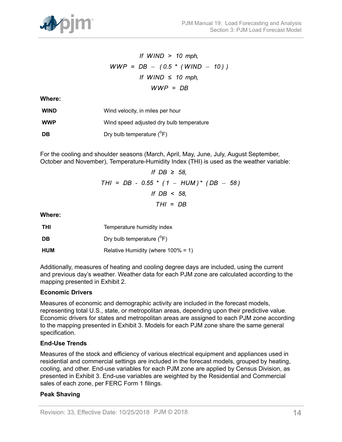

If WIND > 10 mph,  
\n
$$
WWP = DB - (0.5 * (WIND - 10))
$$
\nIf WIND  $\leq$  10 mph,  
\n
$$
WWP = DB
$$

**Where:**

| <b>WIND</b> | Wind velocity, in miles per hour         |
|-------------|------------------------------------------|
| <b>WWP</b>  | Wind speed adjusted dry bulb temperature |
| DB          | Dry bulb temperature $(^{\circ}F)$       |

For the cooling and shoulder seasons (March, April, May, June, July, August September, October and November), Temperature-Humidity Index (THI) is used as the weather variable:

$$
If DB ≥ 58,
$$
  
THI = DB - 0.55 \* (1 - HUM)\* (DB - 58)  
If DB < 58,  
THI = DB

**Where:**

| <b>THI</b> | Temperature humidity index             |
|------------|----------------------------------------|
| DB         | Dry bulb temperature $(^{\circ}F)$     |
| <b>HUM</b> | Relative Humidity (where $100\% = 1$ ) |

Additionally, measures of heating and cooling degree days are included, using the current and previous day's weather. Weather data for each PJM zone are calculated according to the mapping presented in Exhibit 2.

## **Economic Drivers**

Measures of economic and demographic activity are included in the forecast models, representing total U.S., state, or metropolitan areas, depending upon their predictive value. Economic drivers for states and metropolitan areas are assigned to each PJM zone according to the mapping presented in Exhibit 3. Models for each PJM zone share the same general specification.

### **End-Use Trends**

Measures of the stock and efficiency of various electrical equipment and appliances used in residential and commercial settings are included in the forecast models, grouped by heating, cooling, and other. End-use variables for each PJM zone are applied by Census Division, as presented in Exhibit 3. End-use variables are weighted by the Residential and Commercial sales of each zone, per FERC Form 1 filings.

### **Peak Shaving**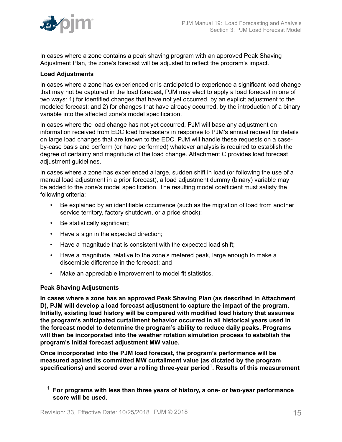

In cases where a zone contains a peak shaving program with an approved Peak Shaving Adjustment Plan, the zone's forecast will be adjusted to reflect the program's impact.

# **Load Adjustments**

In cases where a zone has experienced or is anticipated to experience a significant load change that may not be captured in the load forecast, PJM may elect to apply a load forecast in one of two ways: 1) for identified changes that have not yet occurred, by an explicit adjustment to the modeled forecast; and 2) for changes that have already occurred, by the introduction of a binary variable into the affected zone's model specification.

In cases where the load change has not yet occurred, PJM will base any adjustment on information received from EDC load forecasters in response to PJM's annual request for details on large load changes that are known to the EDC. PJM will handle these requests on a caseby-case basis and perform (or have performed) whatever analysis is required to establish the degree of certainty and magnitude of the load change. Attachment C provides load forecast adjustment guidelines.

In cases where a zone has experienced a large, sudden shift in load (or following the use of a manual load adjustment in a prior forecast), a load adjustment dummy (binary) variable may be added to the zone's model specification. The resulting model coefficient must satisfy the following criteria:

- Be explained by an identifiable occurrence (such as the migration of load from another service territory, factory shutdown, or a price shock);
- Be statistically significant;
- Have a sign in the expected direction;
- Have a magnitude that is consistent with the expected load shift;
- Have a magnitude, relative to the zone's metered peak, large enough to make a discernible difference in the forecast; and
- Make an appreciable improvement to model fit statistics.

## **Peak Shaving Adjustments**

**In cases where a zone has an approved Peak Shaving Plan (as described in Attachment D), PJM will develop a load forecast adjustment to capture the impact of the program. Initially, existing load history will be compared with modified load history that assumes the program's anticipated curtailment behavior occurred in all historical years used in the forecast model to determine the program's ability to reduce daily peaks. Programs will then be incorporated into the weather rotation simulation process to establish the program's initial forecast adjustment MW value.**

**Once incorporated into the PJM load forecast, the program's performance will be measured against its committed MW curtailment value (as dictated by the program specifications) and scored over a rolling three-year period**<sup>1</sup> **. Results of this measurement**

<sup>1</sup> **For programs with less than three years of history, a one- or two-year performance score will be used.**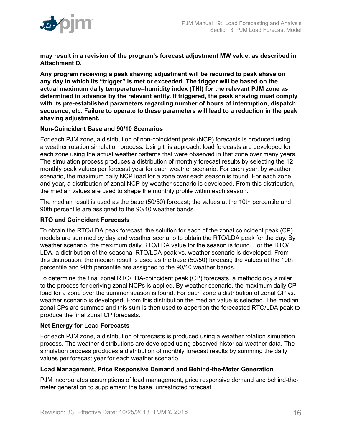

**may result in a revision of the program's forecast adjustment MW value, as described in Attachment D.**

**Any program receiving a peak shaving adjustment will be required to peak shave on any day in which its "trigger" is met or exceeded. The trigger will be based on the actual maximum daily temperature–humidity index (THI) for the relevant PJM zone as determined in advance by the relevant entity. If triggered, the peak shaving must comply with its pre-established parameters regarding number of hours of interruption, dispatch sequence, etc. Failure to operate to these parameters will lead to a reduction in the peak shaving adjustment.**

## **Non-Coincident Base and 90/10 Scenarios**

For each PJM zone, a distribution of non-coincident peak (NCP) forecasts is produced using a weather rotation simulation process. Using this approach, load forecasts are developed for each zone using the actual weather patterns that were observed in that zone over many years. The simulation process produces a distribution of monthly forecast results by selecting the 12 monthly peak values per forecast year for each weather scenario. For each year, by weather scenario, the maximum daily NCP load for a zone over each season is found. For each zone and year, a distribution of zonal NCP by weather scenario is developed. From this distribution, the median values are used to shape the monthly profile within each season.

The median result is used as the base (50/50) forecast; the values at the 10th percentile and 90th percentile are assigned to the 90/10 weather bands.

### **RTO and Coincident Forecasts**

To obtain the RTO/LDA peak forecast, the solution for each of the zonal coincident peak (CP) models are summed by day and weather scenario to obtain the RTO/LDA peak for the day. By weather scenario, the maximum daily RTO/LDA value for the season is found. For the RTO/ LDA, a distribution of the seasonal RTO/LDA peak vs. weather scenario is developed. From this distribution, the median result is used as the base (50/50) forecast; the values at the 10th percentile and 90th percentile are assigned to the 90/10 weather bands.

To determine the final zonal RTO/LDA-coincident peak (CP) forecasts, a methodology similar to the process for deriving zonal NCPs is applied. By weather scenario, the maximum daily CP load for a zone over the summer season is found. For each zone a distribution of zonal CP vs. weather scenario is developed. From this distribution the median value is selected. The median zonal CPs are summed and this sum is then used to apportion the forecasted RTO/LDA peak to produce the final zonal CP forecasts.

# **Net Energy for Load Forecasts**

For each PJM zone, a distribution of forecasts is produced using a weather rotation simulation process. The weather distributions are developed using observed historical weather data. The simulation process produces a distribution of monthly forecast results by summing the daily values per forecast year for each weather scenario.

### **Load Management, Price Responsive Demand and Behind-the-Meter Generation**

PJM incorporates assumptions of load management, price responsive demand and behind-themeter generation to supplement the base, unrestricted forecast.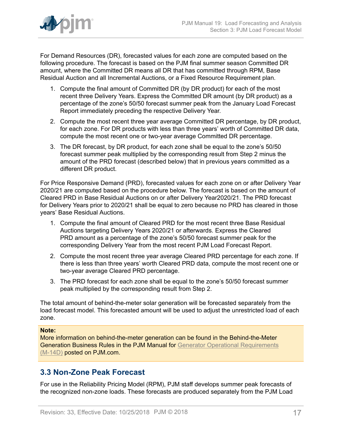

For Demand Resources (DR), forecasted values for each zone are computed based on the following procedure. The forecast is based on the PJM final summer season Committed DR amount, where the Committed DR means all DR that has committed through RPM, Base Residual Auction and all Incremental Auctions, or a Fixed Resource Requirement plan.

- 1. Compute the final amount of Committed DR (by DR product) for each of the most recent three Delivery Years. Express the Committed DR amount (by DR product) as a percentage of the zone's 50/50 forecast summer peak from the January Load Forecast Report immediately preceding the respective Delivery Year.
- 2. Compute the most recent three year average Committed DR percentage, by DR product, for each zone. For DR products with less than three years' worth of Committed DR data, compute the most recent one or two-year average Committed DR percentage.
- 3. The DR forecast, by DR product, for each zone shall be equal to the zone's 50/50 forecast summer peak multiplied by the corresponding result from Step 2 minus the amount of the PRD forecast (described below) that in previous years committed as a different DR product.

For Price Responsive Demand (PRD), forecasted values for each zone on or after Delivery Year 2020/21 are computed based on the procedure below. The forecast is based on the amount of Cleared PRD in Base Residual Auctions on or after Delivery Year2020/21. The PRD forecast for Delivery Years prior to 2020/21 shall be equal to zero because no PRD has cleared in those years' Base Residual Auctions.

- 1. Compute the final amount of Cleared PRD for the most recent three Base Residual Auctions targeting Delivery Years 2020/21 or afterwards. Express the Cleared PRD amount as a percentage of the zone's 50/50 forecast summer peak for the corresponding Delivery Year from the most recent PJM Load Forecast Report.
- 2. Compute the most recent three year average Cleared PRD percentage for each zone. If there is less than three years' worth Cleared PRD data, compute the most recent one or two-year average Cleared PRD percentage.
- 3. The PRD forecast for each zone shall be equal to the zone's 50/50 forecast summer peak multiplied by the corresponding result from Step 2.

The total amount of behind-the-meter solar generation will be forecasted separately from the load forecast model. This forecasted amount will be used to adjust the unrestricted load of each zone.

## **Note:**

More information on behind-the-meter generation can be found in the Behind-the-Meter Generation Business Rules in the PJM Manual for [Generator Operational Requirements](http://www.pjm.com/~/media/documents/manuals/m14d.ashx) [\(M-14D\)](http://www.pjm.com/~/media/documents/manuals/m14d.ashx) posted on PJM.com.

# <span id="page-16-0"></span>**3.3 Non-Zone Peak Forecast**

For use in the Reliability Pricing Model (RPM), PJM staff develops summer peak forecasts of the recognized non-zone loads. These forecasts are produced separately from the PJM Load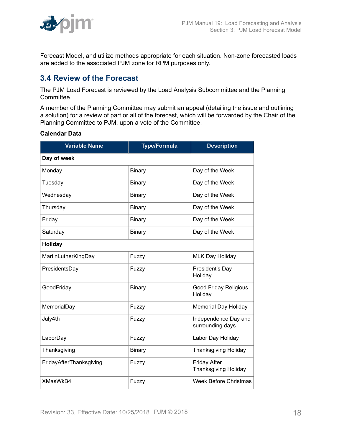

Forecast Model, and utilize methods appropriate for each situation. Non-zone forecasted loads are added to the associated PJM zone for RPM purposes only.

# <span id="page-17-0"></span>**3.4 Review of the Forecast**

The PJM Load Forecast is reviewed by the Load Analysis Subcommittee and the Planning Committee.

A member of the Planning Committee may submit an appeal (detailing the issue and outlining a solution) for a review of part or all of the forecast, which will be forwarded by the Chair of the Planning Committee to PJM, upon a vote of the Committee.

### **Calendar Data**

| <b>Variable Name</b>    | <b>Type/Formula</b> | <b>Description</b>                                 |  |
|-------------------------|---------------------|----------------------------------------------------|--|
| Day of week             |                     |                                                    |  |
| Monday                  | Binary              | Day of the Week                                    |  |
| Tuesday                 | Binary              | Day of the Week                                    |  |
| Wednesday               | Binary              | Day of the Week                                    |  |
| Thursday                | Binary              | Day of the Week                                    |  |
| Friday                  | <b>Binary</b>       | Day of the Week                                    |  |
| Saturday                | Binary              | Day of the Week                                    |  |
| Holiday                 |                     |                                                    |  |
| MartinLutherKingDay     | Fuzzy               | <b>MLK Day Holiday</b>                             |  |
| PresidentsDay           | Fuzzy               | President's Day<br>Holiday                         |  |
| GoodFriday              | Binary              | <b>Good Friday Religious</b><br>Holiday            |  |
| MemorialDay             | Fuzzy               | <b>Memorial Day Holiday</b>                        |  |
| July4th                 | Fuzzy               | Independence Day and<br>surrounding days           |  |
| LaborDay                | Fuzzy               | Labor Day Holiday                                  |  |
| Thanksgiving            | <b>Binary</b>       | <b>Thanksgiving Holiday</b>                        |  |
| FridayAfterThanksgiving | Fuzzy               | <b>Friday After</b><br><b>Thanksgiving Holiday</b> |  |
| XMasWkB4                | Fuzzy               | Week Before Christmas                              |  |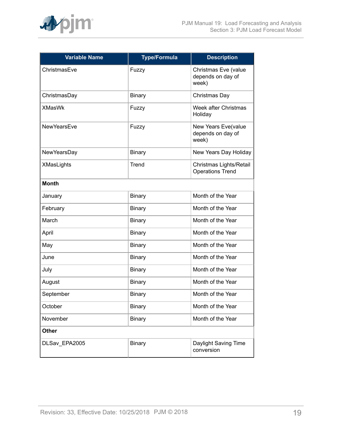

| <b>Variable Name</b> | <b>Type/Formula</b> | <b>Description</b>                                 |
|----------------------|---------------------|----------------------------------------------------|
| ChristmasEve         | Fuzzy               | Christmas Eve (value<br>depends on day of<br>week) |
| ChristmasDay         | <b>Binary</b>       | Christmas Day                                      |
| <b>XMasWk</b>        | Fuzzy               | Week after Christmas<br>Holiday                    |
| <b>NewYearsEve</b>   | Fuzzy               | New Years Eve(value<br>depends on day of<br>week)  |
| NewYearsDay          | <b>Binary</b>       | New Years Day Holiday                              |
| <b>XMasLights</b>    | Trend               | Christmas Lights/Retail<br><b>Operations Trend</b> |
| <b>Month</b>         |                     |                                                    |
| January              | <b>Binary</b>       | Month of the Year                                  |
| February             | <b>Binary</b>       | Month of the Year                                  |
| March                | Binary              | Month of the Year                                  |
| April                | <b>Binary</b>       | Month of the Year                                  |
| May                  | <b>Binary</b>       | Month of the Year                                  |
| June                 | <b>Binary</b>       | Month of the Year                                  |
| July                 | <b>Binary</b>       | Month of the Year                                  |
| August               | <b>Binary</b>       | Month of the Year                                  |
| September            | <b>Binary</b>       | Month of the Year                                  |
| October              | <b>Binary</b>       | Month of the Year                                  |
| November             | <b>Binary</b>       | Month of the Year                                  |
| <b>Other</b>         |                     |                                                    |
| DLSav_EPA2005        | <b>Binary</b>       | Daylight Saving Time<br>conversion                 |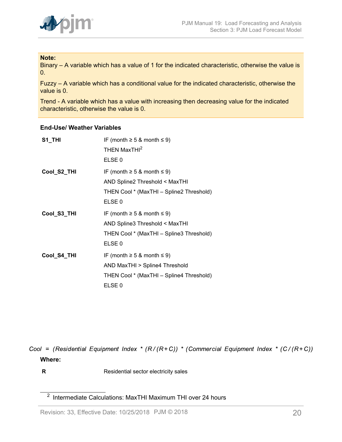

### **Note:**

Binary – A variable which has a value of 1 for the indicated characteristic, otherwise the value is 0.

Fuzzy – A variable which has a conditional value for the indicated characteristic, otherwise the value is 0.

Trend - A variable which has a value with increasing then decreasing value for the indicated characteristic, otherwise the value is 0.

## **End-Use/ Weather Variables**

| S1_THI      | IF (month $\geq$ 5 & month $\leq$ 9)     |
|-------------|------------------------------------------|
|             | THEN MaxTHI <sup>2</sup>                 |
|             | ELSE <sub>0</sub>                        |
| Cool_S2_THI | IF (month $\geq$ 5 & month $\leq$ 9)     |
|             | AND Spline2 Threshold < MaxTHI           |
|             | THEN Cool * (MaxTHI - Spline2 Threshold) |
|             | ELSE <sub>0</sub>                        |
| Cool_S3_THI | IF (month $\geq$ 5 & month $\leq$ 9)     |
|             | AND Spline3 Threshold < MaxTHI           |
|             | THEN Cool * (MaxTHI - Spline3 Threshold) |
|             | ELSE <sub>0</sub>                        |
| Cool_S4_THI | IF (month $\geq$ 5 & month $\leq$ 9)     |
|             | AND MaxTHI > Spline4 Threshold           |
|             | THEN Cool * (MaxTHI - Spline4 Threshold) |
|             | ELSE <sub>0</sub>                        |

Cool = (Residential Equipment Index \* ( $R/(R+C)$ ) \* (Commercial Equipment Index \* ( $C/(R+C)$ ) **Where:**

**R** Residential sector electricity sales

<sup>&</sup>lt;sup>2</sup> Intermediate Calculations: MaxTHI Maximum THI over 24 hours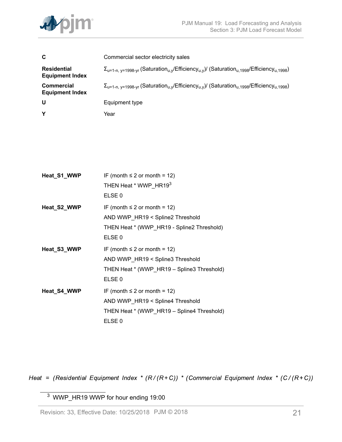

| C                                            | Commercial sector electricity sales                                                                                                                     |
|----------------------------------------------|---------------------------------------------------------------------------------------------------------------------------------------------------------|
| <b>Residential</b><br><b>Equipment Index</b> | $\Sigma_{u=1-n. \, \nu=1998-vr}$ (Saturation <sub>u.v</sub> /Efficiency <sub>u.v</sub> )/ (Saturation <sub>u.1998</sub> /Efficiency <sub>u.1998</sub> ) |
| <b>Commercial</b><br><b>Equipment Index</b>  | $\Sigma_{u=1-n. \, v=1998-vr}$ (Saturation <sub>u.v</sub> /Efficiency <sub>u.v</sub> )/ (Saturation <sub>u.1998</sub> /Efficiency <sub>u.1998</sub> )   |
| U                                            | Equipment type                                                                                                                                          |
| Υ                                            | Year                                                                                                                                                    |

| Heat_S1_WWP | IF (month $\leq 2$ or month = 12)<br>THEN Heat * WWP HR193<br>ELSE <sub>0</sub>                                                          |
|-------------|------------------------------------------------------------------------------------------------------------------------------------------|
| Heat_S2_WWP | IF (month $\leq 2$ or month = 12)<br>AND WWP_HR19 < Spline2 Threshold<br>THEN Heat * (WWP_HR19 - Spline2 Threshold)<br>ELSE <sub>0</sub> |
| Heat_S3_WWP | IF (month $\leq 2$ or month = 12)<br>AND WWP_HR19 < Spline3 Threshold<br>THEN Heat * (WWP HR19 - Spline3 Threshold)<br>ELSE <sub>0</sub> |
| Heat_S4_WWP | IF (month $\leq 2$ or month = 12)<br>AND WWP_HR19 < Spline4 Threshold<br>THEN Heat * (WWP HR19 - Spline4 Threshold)<br>ELSE <sub>0</sub> |

Heat = (Residential Equipment Index \* ( $R/(R+C)$ ) \* (Commercial Equipment Index \* ( $C/(R+C)$ )

<sup>3</sup> WWP\_HR19 WWP for hour ending 19:00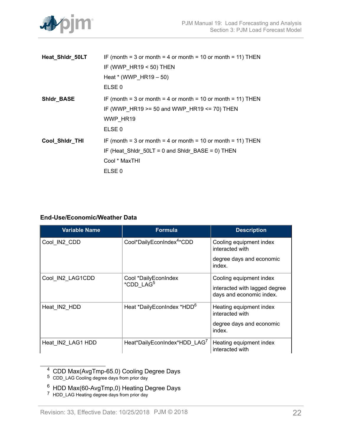

| Heat_Shidr_50LT | IF (month = 3 or month = 4 or month = 10 or month = 11) THEN |
|-----------------|--------------------------------------------------------------|
|                 | IF (WWP $HR19 < 50$ ) THEN                                   |
|                 | Heat $*(WWP_HR19-50)$                                        |
|                 | ELSE <sub>0</sub>                                            |
| Shidr_BASE      | IF (month = 3 or month = 4 or month = 10 or month = 11) THEN |
|                 | IF (WWP HR19 $>=$ 50 and WWP HR19 $<=$ 70) THEN              |
|                 | WWP HR19                                                     |
|                 | ELSE <sub>0</sub>                                            |
| Cool_Shidr_THI  | IF (month = 3 or month = 4 or month = 10 or month = 11) THEN |
|                 | IF (Heat Shidr $50LT = 0$ and Shidr BASE = 0) THEN           |
|                 | Cool * MaxTHI                                                |
|                 | ELSE <sub>0</sub>                                            |

# **End-Use/Economic/Weather Data**

| <b>Variable Name</b> | <b>Formula</b>                                | <b>Description</b>                                                                   |
|----------------------|-----------------------------------------------|--------------------------------------------------------------------------------------|
| Cool_IN2_CDD         | Cool*DailyEconIndex <sup>4</sup> *CDD         | Cooling equipment index<br>interacted with                                           |
|                      |                                               | degree days and economic<br>index.                                                   |
| Cool IN2 LAG1CDD     | Cool *DailyEconIndex<br>*CDD LAG <sup>5</sup> | Cooling equipment index<br>interacted with lagged degree<br>days and economic index. |
| Heat IN2 HDD         | Heat *DailyEconIndex *HDD <sup>6</sup>        | Heating equipment index<br>interacted with                                           |
|                      |                                               | degree days and economic<br>index.                                                   |
| Heat_IN2_LAG1 HDD    | Heat*DailyEconIndex*HDD LAG7                  | Heating equipment index<br>interacted with                                           |

<sup>4</sup> CDD Max(AvgTmp-65.0) Cooling Degree Days

 $^6\,$  HDD Max(60-AvgTmp,0) Heating Degree Days

<sup>5</sup> CDD\_LAG Cooling degree days from prior day

<sup>&</sup>lt;sup>7</sup> HDD\_LAG Heating degree days from prior day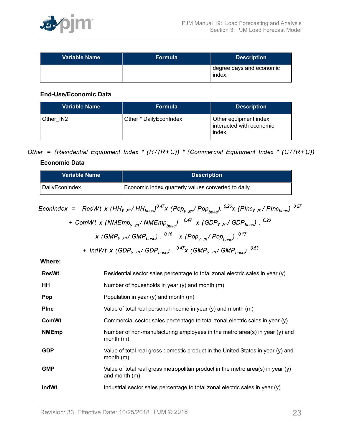

| Variable Name | Formula | <b>Description</b>                 |
|---------------|---------|------------------------------------|
|               |         | degree days and economic<br>index. |

# **End-Use/Economic Data**

| <b>Variable Name</b> | <b>Formula</b>          | <b>Description</b>                                          |
|----------------------|-------------------------|-------------------------------------------------------------|
| Other IN2            | Other * Daily Econindex | Other equipment index<br>interacted with economic<br>index. |

Other = (Residential Equipment Index \* ( $R/(R+C)$ ) \* (Commercial Equipment Index \* ( $C/(R+C)$ )

# **Economic Data**

| <b>Variable Name</b> | <b>Description</b>                                  |
|----------------------|-----------------------------------------------------|
| DailyEconIndex       | Economic index quarterly values converted to daily. |

$$
EconIndex = ResWt x (HHy,m/HHbase)0.47x (Popy,m/Popbase).0.26x (Plncy,m/Plncbase).0.27
$$

+ ComWt x (NMEmp<sub>y,m</sub>/ NMEmp<sub>base</sub>) 
$$
^{0.47}
$$
 x (GDP<sub>y,m</sub>/ GDP<sub>base</sub>)  $^{0.20}$   
x (GMP<sub>y,m</sub>/ GMP<sub>base</sub>)  $^{0.16}$  x (Pop<sub>y,m</sub>/ Pop<sub>base</sub>)  $^{0.17}$ 

+ 
$$
IndWt \times (GDP_{y,m}/GDP_{base})
$$
. <sup>0.47</sup>x ( $GMP_{y,m}/GMP_{base}$ ) <sup>0.53</sup>

**Where:**

| <b>ResWt</b> | Residential sector sales percentage to total zonal electric sales in year (y)                        |
|--------------|------------------------------------------------------------------------------------------------------|
| HH           | Number of households in year (y) and month (m)                                                       |
| Pop          | Population in year $(y)$ and month $(m)$                                                             |
| <b>PInc</b>  | Value of total real personal income in year $(y)$ and month $(m)$                                    |
| <b>ComWt</b> | Commercial sector sales percentage to total zonal electric sales in year (y)                         |
| <b>NMEmp</b> | Number of non-manufacturing employees in the metro area(s) in year $(y)$ and<br>month(m)             |
| <b>GDP</b>   | Value of total real gross domestic product in the United States in year (y) and<br>month $(m)$       |
| <b>GMP</b>   | Value of total real gross metropolitan product in the metro area(s) in year $(y)$<br>and month $(m)$ |
| <b>IndWt</b> | Industrial sector sales percentage to total zonal electric sales in year (y)                         |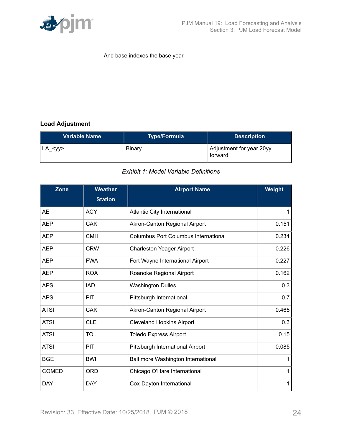

### And base indexes the base year

# **Load Adjustment**

<span id="page-23-0"></span>

| <b>Variable Name</b> | <b>Type/Formula</b> | <b>Description</b>                  |
|----------------------|---------------------|-------------------------------------|
| $LA <$ yy>           | Binary              | Adjustment for year 20yy<br>forward |

## *Exhibit 1: Model Variable Definitions*

<span id="page-23-1"></span>

| <b>Zone</b>  | <b>Weather</b> | <b>Airport Name</b>                         | Weight |
|--------------|----------------|---------------------------------------------|--------|
|              | <b>Station</b> |                                             |        |
| <b>AE</b>    | <b>ACY</b>     | Atlantic City International                 | 1      |
| <b>AEP</b>   | <b>CAK</b>     | Akron-Canton Regional Airport               | 0.151  |
| <b>AEP</b>   | <b>CMH</b>     | <b>Columbus Port Columbus International</b> | 0.234  |
| <b>AEP</b>   | <b>CRW</b>     | Charleston Yeager Airport                   | 0.226  |
| <b>AEP</b>   | <b>FWA</b>     | Fort Wayne International Airport            | 0.227  |
| <b>AEP</b>   | <b>ROA</b>     | Roanoke Regional Airport                    | 0.162  |
| <b>APS</b>   | <b>IAD</b>     | <b>Washington Dulles</b>                    | 0.3    |
| <b>APS</b>   | <b>PIT</b>     | Pittsburgh International                    | 0.7    |
| <b>ATSI</b>  | <b>CAK</b>     | Akron-Canton Regional Airport               | 0.465  |
| <b>ATSI</b>  | <b>CLE</b>     | <b>Cleveland Hopkins Airport</b>            | 0.3    |
| <b>ATSI</b>  | <b>TOL</b>     | <b>Toledo Express Airport</b>               | 0.15   |
| <b>ATSI</b>  | <b>PIT</b>     | Pittsburgh International Airport            | 0.085  |
| <b>BGE</b>   | <b>BWI</b>     | Baltimore Washington International          | 1      |
| <b>COMED</b> | <b>ORD</b>     | Chicago O'Hare International                | 1      |
| <b>DAY</b>   | <b>DAY</b>     | Cox-Dayton International                    | 1      |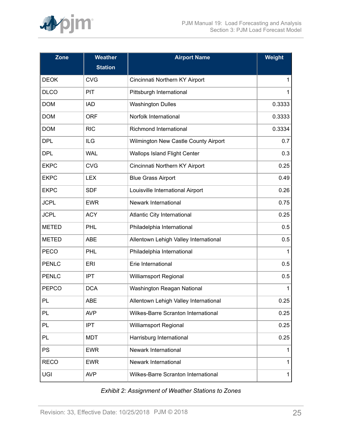

| Zone         | <b>Weather</b> | <b>Airport Name</b>                   | Weight |
|--------------|----------------|---------------------------------------|--------|
|              | <b>Station</b> |                                       |        |
| <b>DEOK</b>  | <b>CVG</b>     | Cincinnati Northern KY Airport        | 1      |
| <b>DLCO</b>  | PIT            | Pittsburgh International              | 1      |
| <b>DOM</b>   | <b>IAD</b>     | <b>Washington Dulles</b>              | 0.3333 |
| <b>DOM</b>   | <b>ORF</b>     | Norfolk International                 | 0.3333 |
| <b>DOM</b>   | <b>RIC</b>     | <b>Richmond International</b>         | 0.3334 |
| <b>DPL</b>   | <b>ILG</b>     | Wilmington New Castle County Airport  | 0.7    |
| <b>DPL</b>   | <b>WAL</b>     | <b>Wallops Island Flight Center</b>   | 0.3    |
| <b>EKPC</b>  | <b>CVG</b>     | Cincinnati Northern KY Airport        | 0.25   |
| <b>EKPC</b>  | <b>LEX</b>     | <b>Blue Grass Airport</b>             | 0.49   |
| <b>EKPC</b>  | <b>SDF</b>     | Louisville International Airport      | 0.26   |
| <b>JCPL</b>  | <b>EWR</b>     | Newark International                  | 0.75   |
| <b>JCPL</b>  | <b>ACY</b>     | Atlantic City International           | 0.25   |
| <b>METED</b> | <b>PHL</b>     | Philadelphia International            | 0.5    |
| <b>METED</b> | <b>ABE</b>     | Allentown Lehigh Valley International | 0.5    |
| <b>PECO</b>  | PHL            | Philadelphia International            | 1      |
| <b>PENLC</b> | <b>ERI</b>     | Erie International                    | 0.5    |
| <b>PENLC</b> | <b>IPT</b>     | <b>Williamsport Regional</b>          | 0.5    |
| <b>PEPCO</b> | <b>DCA</b>     | Washington Reagan National            | 1      |
| PL           | <b>ABE</b>     | Allentown Lehigh Valley International | 0.25   |
| PL           | <b>AVP</b>     | Wilkes-Barre Scranton International   | 0.25   |
| PL           | <b>IPT</b>     | <b>Williamsport Regional</b>          | 0.25   |
| PL           | <b>MDT</b>     | Harrisburg International              | 0.25   |
| PS           | <b>EWR</b>     | <b>Newark International</b>           | 1      |
| <b>RECO</b>  | <b>EWR</b>     | Newark International                  | 1      |
| <b>UGI</b>   | <b>AVP</b>     | Wilkes-Barre Scranton International   | 1      |

| <b>Exhibit 2: Assignment of Weather Stations to Zones</b> |
|-----------------------------------------------------------|
|-----------------------------------------------------------|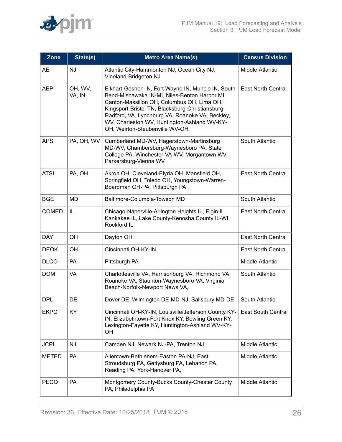

<span id="page-25-0"></span>

| Zone         | State(s)          | <b>Metro Area Name(s)</b>                                                                                                                                                                                                                                                                                                                  | <b>Census Division</b>    |
|--------------|-------------------|--------------------------------------------------------------------------------------------------------------------------------------------------------------------------------------------------------------------------------------------------------------------------------------------------------------------------------------------|---------------------------|
| AE           | <b>NJ</b>         | Atlantic City-Hammonton NJ, Ocean City NJ,<br>Vineland-Bridgeton NJ                                                                                                                                                                                                                                                                        | Middle Atlantic           |
| <b>AEP</b>   | OH, WV,<br>VA, IN | Elkhart-Goshen IN, Fort Wayne IN, Muncie IN, South<br>Bend-Mishawaka IN-MI, Niles-Benton Harbor MI,<br>Canton-Massillon OH, Columbus OH, Lima OH,<br>Kingsport-Bristol TN, Blacksburg-Christiansburg-<br>Radford, VA, Lynchburg VA, Roanoke VA, Beckley,<br>WV, Charleston WV, Huntington-Ashland WV-KY-<br>OH, Weirton-Steubenville WV-OH | <b>East North Central</b> |
| <b>APS</b>   | PA, OH, WV        | Cumberland MD-WV, Hagerstown-Martinsburg<br>MD-WV, Chambersburg-Waynesboro PA, State<br>College PA, Winchester VA-WV, Morgantown WV,<br>Parkersburg-Vienna WV                                                                                                                                                                              | South Atlantic            |
| <b>ATSI</b>  | PA, OH            | Akron OH, Cleveland-Elyria OH, Mansfield OH,<br>Springfield OH, Toledo OH, Youngstown-Warren-<br>Boardman OH-PA, Pittsburgh PA                                                                                                                                                                                                             | <b>East North Central</b> |
| <b>BGE</b>   | <b>MD</b>         | Baltimore-Columbia-Towson MD                                                                                                                                                                                                                                                                                                               | South Atlantic            |
| <b>COMED</b> | IL                | Chicago-Naperville-Arlington Heights IL, Elgin IL,<br>Kankakee IL, Lake County-Kenosha County IL-WI,<br>Rockford IL                                                                                                                                                                                                                        | <b>East North Central</b> |
| <b>DAY</b>   | OН                | Dayton OH                                                                                                                                                                                                                                                                                                                                  | <b>East North Central</b> |
| <b>DEOK</b>  | OH                | Cincinnati OH-KY-IN                                                                                                                                                                                                                                                                                                                        | <b>East North Central</b> |
| <b>DLCO</b>  | PA                | Pittsburgh PA                                                                                                                                                                                                                                                                                                                              | <b>Middle Atlantic</b>    |
| <b>DOM</b>   | VA                | Charlottesville VA, Harrisonburg VA, Richmond VA,<br>Roanoke VA, Staunton-Waynesboro VA, Virginia<br>Beach-Norfolk-Newport News VA,                                                                                                                                                                                                        | South Atlantic            |
| <b>DPL</b>   | DE                | Dover DE, Wilmington DE-MD-NJ, Salisbury MD-DE                                                                                                                                                                                                                                                                                             | South Atlantic            |
| <b>EKPC</b>  | KY                | Cincinnati OH-KY-IN, Louisville/Jefferson County KY-<br>IN, Elizabethtown-Fort Knox KY, Bowling Green KY,<br>Lexington-Fayette KY, Huntington-Ashland WV-KY-<br>OH                                                                                                                                                                         | <b>East South Central</b> |
| <b>JCPL</b>  | NJ                | Camden NJ, Newark NJ-PA, Trenton NJ                                                                                                                                                                                                                                                                                                        | Middle Atlantic           |
| <b>METED</b> | <b>PA</b>         | Allentown-Bethlehem-Easton PA-NJ, East<br>Stroudsburg PA, Gettysburg PA, Lebanon PA,<br>Reading PA, York-Hanover PA,                                                                                                                                                                                                                       | Middle Atlantic           |
| <b>PECO</b>  | PA                | Montgomery County-Bucks County-Chester County<br>PA, Philadelphia PA                                                                                                                                                                                                                                                                       | Middle Atlantic           |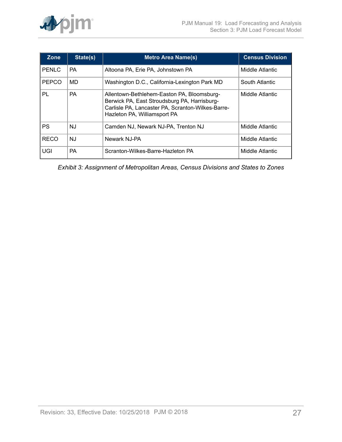

| Zone         | State(s)  | <b>Metro Area Name(s)</b>                                                                                                                                                       | <b>Census Division</b> |
|--------------|-----------|---------------------------------------------------------------------------------------------------------------------------------------------------------------------------------|------------------------|
| <b>PENLC</b> | <b>PA</b> | Altoona PA, Erie PA, Johnstown PA                                                                                                                                               | Middle Atlantic        |
| <b>PEPCO</b> | MD        | Washington D.C., California-Lexington Park MD                                                                                                                                   | South Atlantic         |
| PL           | <b>PA</b> | Allentown-Bethlehem-Easton PA, Bloomsburg-<br>Berwick PA, East Stroudsburg PA, Harrisburg-<br>Carlisle PA, Lancaster PA, Scranton-Wilkes-Barre-<br>Hazleton PA, Williamsport PA | Middle Atlantic        |
| PS           | NJ        | Camden NJ, Newark NJ-PA, Trenton NJ                                                                                                                                             | Middle Atlantic        |
| <b>RECO</b>  | NJ        | Newark NJ-PA                                                                                                                                                                    | Middle Atlantic        |
| UGI          | <b>PA</b> | Scranton-Wilkes-Barre-Hazleton PA                                                                                                                                               | Middle Atlantic        |

*Exhibit 3: Assignment of Metropolitan Areas, Census Divisions and States to Zones*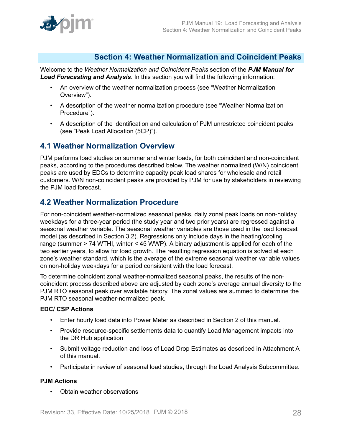

# <span id="page-27-0"></span>**Section 4: Weather Normalization and Coincident Peaks**

Welcome to the *Weather Normalization and Coincident Peaks* section of the *PJM Manual for Load Forecasting and Analysis*. In this section you will find the following information:

- An overview of the weather normalization process (see "Weather Normalization Overview").
- A description of the weather normalization procedure (see "Weather Normalization Procedure").
- A description of the identification and calculation of PJM unrestricted coincident peaks (see "Peak Load Allocation (5CP)").

# <span id="page-27-1"></span>**4.1 Weather Normalization Overview**

PJM performs load studies on summer and winter loads, for both coincident and non-coincident peaks, according to the procedures described below. The weather normalized (W/N) coincident peaks are used by EDCs to determine capacity peak load shares for wholesale and retail customers. W/N non-coincident peaks are provided by PJM for use by stakeholders in reviewing the PJM load forecast.

# <span id="page-27-2"></span>**4.2 Weather Normalization Procedure**

For non-coincident weather-normalized seasonal peaks, daily zonal peak loads on non-holiday weekdays for a three-year period (the study year and two prior years) are regressed against a seasonal weather variable. The seasonal weather variables are those used in the load forecast model (as described in Section 3.2). Regressions only include days in the heating/cooling range (summer > 74 WTHI, winter < 45 WWP). A binary adjustment is applied for each of the two earlier years, to allow for load growth. The resulting regression equation is solved at each zone's weather standard, which is the average of the extreme seasonal weather variable values on non-holiday weekdays for a period consistent with the load forecast.

To determine coincident zonal weather-normalized seasonal peaks, the results of the noncoincident process described above are adjusted by each zone's average annual diversity to the PJM RTO seasonal peak over available history. The zonal values are summed to determine the PJM RTO seasonal weather-normalized peak.

## **EDC/ CSP Actions**

- Enter hourly load data into Power Meter as described in Section 2 of this manual.
- Provide resource-specific settlements data to quantify Load Management impacts into the DR Hub application
- Submit voltage reduction and loss of Load Drop Estimates as described in Attachment A of this manual.
- Participate in review of seasonal load studies, through the Load Analysis Subcommittee.

# **PJM Actions**

• Obtain weather observations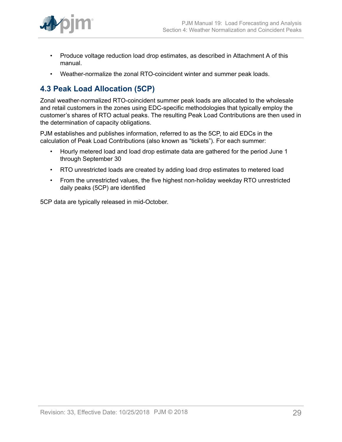

- Produce voltage reduction load drop estimates, as described in Attachment A of this manual.
- Weather-normalize the zonal RTO-coincident winter and summer peak loads.

# <span id="page-28-0"></span>**4.3 Peak Load Allocation (5CP)**

Zonal weather-normalized RTO-coincident summer peak loads are allocated to the wholesale and retail customers in the zones using EDC-specific methodologies that typically employ the customer's shares of RTO actual peaks. The resulting Peak Load Contributions are then used in the determination of capacity obligations.

PJM establishes and publishes information, referred to as the 5CP, to aid EDCs in the calculation of Peak Load Contributions (also known as "tickets"). For each summer:

- Hourly metered load and load drop estimate data are gathered for the period June 1 through September 30
- RTO unrestricted loads are created by adding load drop estimates to metered load
- From the unrestricted values, the five highest non-holiday weekday RTO unrestricted daily peaks (5CP) are identified

5CP data are typically released in mid-October.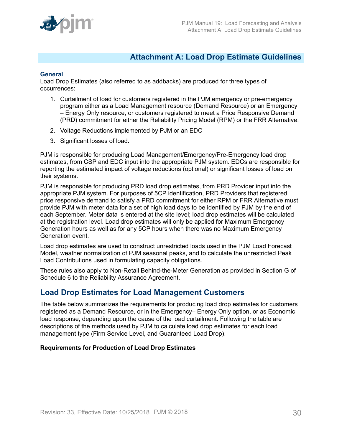

# <span id="page-29-0"></span>**Attachment A: Load Drop Estimate Guidelines**

### **General**

Load Drop Estimates (also referred to as addbacks) are produced for three types of occurrences:

- 1. Curtailment of load for customers registered in the PJM emergency or pre-emergency program either as a Load Management resource (Demand Resource) or an Emergency – Energy Only resource, or customers registered to meet a Price Responsive Demand (PRD) commitment for either the Reliability Pricing Model (RPM) or the FRR Alternative.
- 2. Voltage Reductions implemented by PJM or an EDC
- 3. Significant losses of load.

PJM is responsible for producing Load Management/Emergency/Pre-Emergency load drop estimates, from CSP and EDC input into the appropriate PJM system. EDCs are responsible for reporting the estimated impact of voltage reductions (optional) or significant losses of load on their systems.

PJM is responsible for producing PRD load drop estimates, from PRD Provider input into the appropriate PJM system. For purposes of 5CP identification, PRD Providers that registered price responsive demand to satisfy a PRD commitment for either RPM or FRR Alternative must provide PJM with meter data for a set of high load days to be identified by PJM by the end of each September. Meter data is entered at the site level; load drop estimates will be calculated at the registration level. Load drop estimates will only be applied for Maximum Emergency Generation hours as well as for any 5CP hours when there was no Maximum Emergency Generation event.

Load drop estimates are used to construct unrestricted loads used in the PJM Load Forecast Model, weather normalization of PJM seasonal peaks, and to calculate the unrestricted Peak Load Contributions used in formulating capacity obligations.

These rules also apply to Non-Retail Behind-the-Meter Generation as provided in Section G of Schedule 6 to the Reliability Assurance Agreement.

# <span id="page-29-1"></span>**Load Drop Estimates for Load Management Customers**

The table below summarizes the requirements for producing load drop estimates for customers registered as a Demand Resource, or in the Emergency– Energy Only option, or as Economic load response, depending upon the cause of the load curtailment. Following the table are descriptions of the methods used by PJM to calculate load drop estimates for each load management type (Firm Service Level, and Guaranteed Load Drop).

## **Requirements for Production of Load Drop Estimates**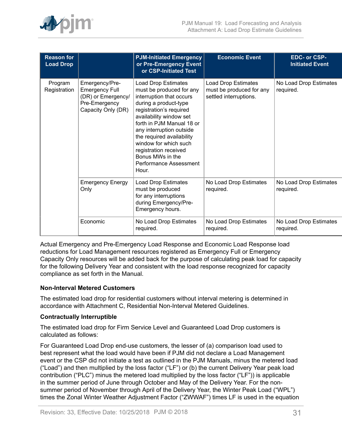

| <b>Reason for</b><br><b>Load Drop</b> |                                                                                                      | <b>PJM-Initiated Emergency</b><br>or Pre-Emergency Event<br>or CSP-Initiated Test                                                                                                                                                                                                                                                                         | <b>Economic Event</b>                                                     | EDC- or CSP-<br><b>Initiated Event</b> |
|---------------------------------------|------------------------------------------------------------------------------------------------------|-----------------------------------------------------------------------------------------------------------------------------------------------------------------------------------------------------------------------------------------------------------------------------------------------------------------------------------------------------------|---------------------------------------------------------------------------|----------------------------------------|
| Program<br>Registration               | Emergency/Pre-<br><b>Emergency Full</b><br>(DR) or Emergency/<br>Pre-Emergency<br>Capacity Only (DR) | Load Drop Estimates<br>must be produced for any<br>interruption that occurs<br>during a product-type<br>registration's required<br>availability window set<br>forth in PJM Manual 18 or<br>any interruption outside<br>the required availability<br>window for which such<br>registration received<br>Bonus MWs in the<br>Performance Assessment<br>Hour. | Load Drop Estimates<br>must be produced for any<br>settled interruptions. | No Load Drop Estimates<br>required.    |
|                                       | <b>Emergency Energy</b><br>Only                                                                      | <b>Load Drop Estimates</b><br>must be produced<br>for any interruptions<br>during Emergency/Pre-<br>Emergency hours.                                                                                                                                                                                                                                      | No Load Drop Estimates<br>required.                                       | No Load Drop Estimates<br>required.    |
|                                       | Economic                                                                                             | No Load Drop Estimates<br>required.                                                                                                                                                                                                                                                                                                                       | No Load Drop Estimates<br>required.                                       | No Load Drop Estimates<br>required.    |

Actual Emergency and Pre-Emergency Load Response and Economic Load Response load reductions for Load Management resources registered as Emergency Full or Emergency Capacity Only resources will be added back for the purpose of calculating peak load for capacity for the following Delivery Year and consistent with the load response recognized for capacity compliance as set forth in the Manual.

## **Non-Interval Metered Customers**

The estimated load drop for residential customers without interval metering is determined in accordance with Attachment C, Residential Non-Interval Metered Guidelines.

### **Contractually Interruptible**

The estimated load drop for Firm Service Level and Guaranteed Load Drop customers is calculated as follows:

For Guaranteed Load Drop end-use customers, the lesser of (a) comparison load used to best represent what the load would have been if PJM did not declare a Load Management event or the CSP did not initiate a test as outlined in the PJM Manuals, minus the metered load ("Load") and then multiplied by the loss factor ("LF") or (b) the current Delivery Year peak load contribution ("PLC") minus the metered load multiplied by the loss factor ("LF")) is applicable in the summer period of June through October and May of the Delivery Year. For the nonsummer period of November through April of the Delivery Year, the Winter Peak Load ("WPL") times the Zonal Winter Weather Adjustment Factor ("ZWWAF") times LF is used in the equation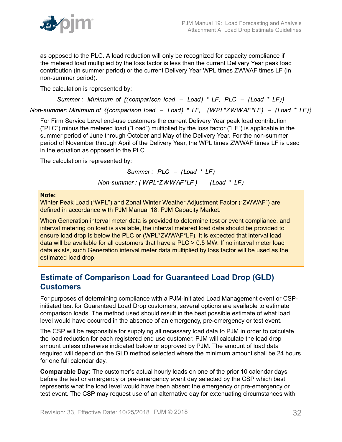

as opposed to the PLC. A load reduction will only be recognized for capacity compliance if the metered load multiplied by the loss factor is less than the current Delivery Year peak load contribution (in summer period) or the current Delivery Year WPL times ZWWAF times LF (in non-summer period).

The calculation is represented by:

Summer: Minimum of  $\{(\text{comparison load} - \text{Load}) * LF, PLC - (\text{Load} * LF)\}\$ 

Non-summer: Minimum of  $\{(\text{comparison load} - \text{Load}) * LF, (WPL*ZWWAF*LF) - (\text{Load} * LF)\}\$ 

For Firm Service Level end-use customers the current Delivery Year peak load contribution ("PLC") minus the metered load ("Load") multiplied by the loss factor ("LF") is applicable in the summer period of June through October and May of the Delivery Year. For the non-summer period of November through April of the Delivery Year, the WPL times ZWWAF times LF is used in the equation as opposed to the PLC.

The calculation is represented by:

Summer:  $PLC - (Load * LF)$ 

Non-summer: (WPL\*ZWWAF\*LF) - (Load \* LF)

### **Note:**

Winter Peak Load ("WPL") and Zonal Winter Weather Adjustment Factor ("ZWWAF") are defined in accordance with PJM Manual 18, PJM Capacity Market.

When Generation interval meter data is provided to determine test or event compliance, and interval metering on load is available, the interval metered load data should be provided to ensure load drop is below the PLC or (WPL\*ZWWAF\*LF). It is expected that interval load data will be available for all customers that have a PLC > 0.5 MW. If no interval meter load data exists, such Generation interval meter data multiplied by loss factor will be used as the estimated load drop.

# <span id="page-31-0"></span>**Estimate of Comparison Load for Guaranteed Load Drop (GLD) Customers**

For purposes of determining compliance with a PJM-initiated Load Management event or CSPinitiated test for Guaranteed Load Drop customers, several options are available to estimate comparison loads. The method used should result in the best possible estimate of what load level would have occurred in the absence of an emergency, pre-emergency or test event.

The CSP will be responsible for supplying all necessary load data to PJM in order to calculate the load reduction for each registered end use customer. PJM will calculate the load drop amount unless otherwise indicated below or approved by PJM. The amount of load data required will depend on the GLD method selected where the minimum amount shall be 24 hours for one full calendar day.

**Comparable Day:** The customer's actual hourly loads on one of the prior 10 calendar days before the test or emergency or pre-emergency event day selected by the CSP which best represents what the load level would have been absent the emergency or pre-emergency or test event. The CSP may request use of an alternative day for extenuating circumstances with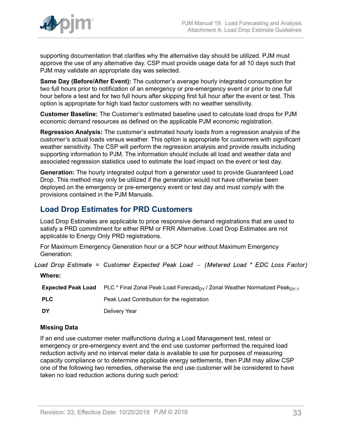

supporting documentation that clarifies why the alternative day should be utilized. PJM must approve the use of any alternative day. CSP must provide usage data for all 10 days such that PJM may validate an appropriate day was selected.

**Same Day (Before/After Event):** The customer's average hourly integrated consumption for two full hours prior to notification of an emergency or pre-emergency event or prior to one full hour before a test and for two full hours after skipping first full hour after the event or test. This option is appropriate for high load factor customers with no weather sensitivity.

**Customer Baseline:** The Customer's estimated baseline used to calculate load drops for PJM economic demand resources as defined on the applicable PJM economic registration.

**Regression Analysis:** The customer's estimated hourly loads from a regression analysis of the customer's actual loads versus weather. This option is appropriate for customers with significant weather sensitivity. The CSP will perform the regression analysis and provide results including supporting information to PJM. The information should include all load and weather data and associated regression statistics used to estimate the load impact on the event or test day.

**Generation:** The hourly integrated output from a generator used to provide Guaranteed Load Drop. This method may only be utilized if the generation would not have otherwise been deployed on the emergency or pre-emergency event or test day and must comply with the provisions contained in the PJM Manuals.

# <span id="page-32-0"></span>**Load Drop Estimates for PRD Customers**

Load Drop Estimates are applicable to price responsive demand registrations that are used to satisfy a PRD commitment for either RPM or FRR Alternative. Load Drop Estimates are not applicable to Energy Only PRD registrations.

For Maximum Emergency Generation hour or a 5CP hour without Maximum Emergency Generation:

Load Drop Estimate = Customer Expected Peak Load - (Metered Load \* EDC Loss Factor)

**Where:**

**Expected Peak Load** PLC \* Final Zonal Peak Load Forecast<sub>DY</sub> / Zonal Weather Normalized Peak<sub>DY-1</sub> **PLC** Peak Load Contribution for the registration **DY** Delivery Year

# **Missing Data**

If an end use customer meter malfunctions during a Load Management test, retest or emergency or pre-emergency event and the end use customer performed the required load reduction activity and no interval meter data is available to use for purposes of measuring capacity compliance or to determine applicable energy settlements, then PJM may allow CSP one of the following two remedies, otherwise the end use customer will be considered to have taken no load reduction actions during such period: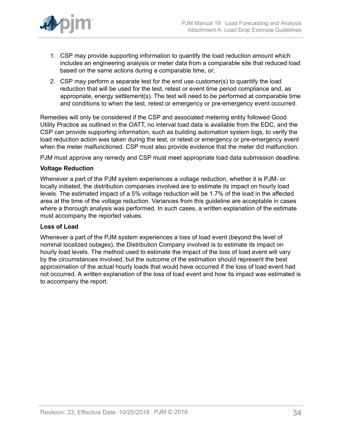

- 1. CSP may provide supporting information to quantify the load reduction amount which includes an engineering analysis or meter data from a comparable site that reduced load based on the same actions during a comparable time, or;
- 2. CSP may perform a separate test for the end use customer(s) to quantify the load reduction that will be used for the test, retest or event time period compliance and, as appropriate, energy settlement(s). The test will need to be performed at comparable time and conditions to when the test, retest or emergency or pre-emergency event occurred.

Remedies will only be considered if the CSP and associated metering entity followed Good Utility Practice as outlined in the OATT, no interval load data is available from the EDC, and the CSP can provide supporting information, such as building automation system logs, to verify the load reduction action was taken during the test, or retest or emergency or pre-emergency event when the meter malfunctioned. CSP must also provide evidence that the meter did malfunction.

PJM must approve any remedy and CSP must meet appropriate load data submission deadline.

### **Voltage Reduction**

Whenever a part of the PJM system experiences a voltage reduction, whether it is PJM- or locally initiated, the distribution companies involved are to estimate its impact on hourly load levels. The estimated impact of a 5% voltage reduction will be 1.7% of the load in the affected area at the time of the voltage reduction. Variances from this guideline are acceptable in cases where a thorough analysis was performed. In such cases, a written explanation of the estimate must accompany the reported values.

### **Loss of Load**

Whenever a part of the PJM system experiences a loss of load event (beyond the level of nominal localized outages), the Distribution Company involved is to estimate its impact on hourly load levels. The method used to estimate the impact of the loss of load event will vary by the circumstances involved, but the outcome of the estimation should represent the best approximation of the actual hourly loads that would have occurred if the loss of load event had not occurred. A written explanation of the loss of load event and how its impact was estimated is to accompany the report.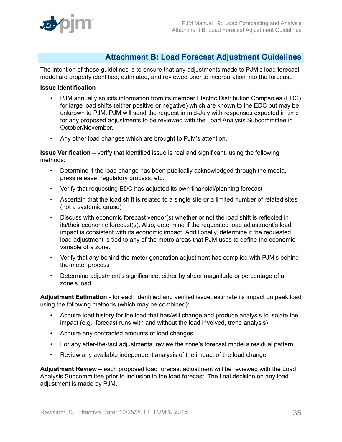# <span id="page-34-0"></span>**Attachment B: Load Forecast Adjustment Guidelines**

The intention of these guidelines is to ensure that any adjustments made to PJM's load forecast model are properly identified, estimated, and reviewed prior to incorporation into the forecast.

### **Issue Identification**

- PJM annually solicits information from its member Electric Distribution Companies (EDC) for large load shifts (either positive or negative) which are known to the EDC but may be unknown to PJM. PJM will send the request in mid-July with responses expected in time for any proposed adjustments to be reviewed with the Load Analysis Subcommittee in October/November.
- Any other load changes which are brought to PJM's attention.

**Issue Verification –** verify that identified issue is real and significant, using the following methods:

- Determine if the load change has been publically acknowledged through the media, press release, regulatory process, etc.
- Verify that requesting EDC has adjusted its own financial/planning forecast
- Ascertain that the load shift is related to a single site or a limited number of related sites (not a systemic cause)
- Discuss with economic forecast vendor(s) whether or not the load shift is reflected in its/their economic forecast(s). Also, determine if the requested load adjustment's load impact is consistent with its economic impact. Additionally, determine if the requested load adjustment is tied to any of the metro areas that PJM uses to define the economic variable of a zone.
- Verify that any behind-the-meter generation adjustment has complied with PJM's behindthe-meter process
- Determine adjustment's significance, either by sheer magnitude or percentage of a zone's load.

**Adjustment Estimation -** for each identified and verified issue, estimate its impact on peak load using the following methods (which may be combined):

- Acquire load history for the load that has/will change and produce analysis to isolate the impact (e.g., forecast runs with and without the load involved, trend analysis)
- Acquire any contracted amounts of load changes
- For any after-the-fact adjustments, review the zone's forecast model's residual pattern
- Review any available independent analysis of the impact of the load change.

**Adjustment Review –** each proposed load forecast adjustment will be reviewed with the Load Analysis Subcommittee prior to inclusion in the load forecast. The final decision on any load adjustment is made by PJM.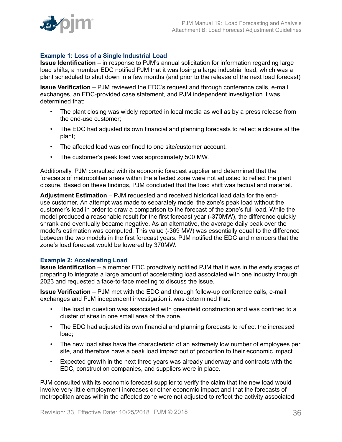

## **Example 1: Loss of a Single Industrial Load**

**Issue Identification** – in response to PJM's annual solicitation for information regarding large load shifts, a member EDC notified PJM that it was losing a large industrial load, which was a plant scheduled to shut down in a few months (and prior to the release of the next load forecast)

**Issue Verification** – PJM reviewed the EDC's request and through conference calls, e-mail exchanges, an EDC-provided case statement, and PJM independent investigation it was determined that:

- The plant closing was widely reported in local media as well as by a press release from the end-use customer;
- The EDC had adjusted its own financial and planning forecasts to reflect a closure at the plant;
- The affected load was confined to one site/customer account.
- The customer's peak load was approximately 500 MW.

Additionally, PJM consulted with its economic forecast supplier and determined that the forecasts of metropolitan areas within the affected zone were not adjusted to reflect the plant closure. Based on these findings, PJM concluded that the load shift was factual and material.

**Adjustment Estimation** – PJM requested and received historical load data for the enduse customer. An attempt was made to separately model the zone's peak load without the customer's load in order to draw a comparison to the forecast of the zone's full load. While the model produced a reasonable result for the first forecast year (-370MW), the difference quickly shrank and eventually became negative. As an alternative, the average daily peak over the model's estimation was computed. This value (-369 MW) was essentially equal to the difference between the two models in the first forecast years. PJM notified the EDC and members that the zone's load forecast would be lowered by 370MW.

#### **Example 2: Accelerating Load**

**Issue Identification** – a member EDC proactively notified PJM that it was in the early stages of preparing to integrate a large amount of accelerating load associated with one industry through 2023 and requested a face-to-face meeting to discuss the issue.

**Issue Verification** – PJM met with the EDC and through follow-up conference calls, e-mail exchanges and PJM independent investigation it was determined that:

- The load in question was associated with greenfield construction and was confined to a cluster of sites in one small area of the zone.
- The EDC had adjusted its own financial and planning forecasts to reflect the increased load;
- The new load sites have the characteristic of an extremely low number of employees per site, and therefore have a peak load impact out of proportion to their economic impact.
- Expected growth in the next three years was already underway and contracts with the EDC, construction companies, and suppliers were in place.

PJM consulted with its economic forecast supplier to verify the claim that the new load would involve very little employment increases or other economic impact and that the forecasts of metropolitan areas within the affected zone were not adjusted to reflect the activity associated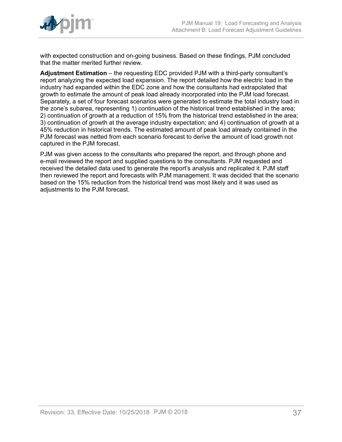

with expected construction and on-going business. Based on these findings, PJM concluded that the matter merited further review.

**Adjustment Estimation** – the requesting EDC provided PJM with a third-party consultant's report analyzing the expected load expansion. The report detailed how the electric load in the industry had expanded within the EDC zone and how the consultants had extrapolated that growth to estimate the amount of peak load already incorporated into the PJM load forecast. Separately, a set of four forecast scenarios were generated to estimate the total industry load in the zone's subarea, representing 1) continuation of the historical trend established in the area; 2) continuation of growth at a reduction of 15% from the historical trend established in the area; 3) continuation of growth at the average industry expectation; and 4) continuation of growth at a 45% reduction in historical trends. The estimated amount of peak load already contained in the PJM forecast was netted from each scenario forecast to derive the amount of load growth not captured in the PJM forecast.

PJM was given access to the consultants who prepared the report, and through phone and e-mail reviewed the report and supplied questions to the consultants. PJM requested and received the detailed data used to generate the report's analysis and replicated it. PJM staff then reviewed the report and forecasts with PJM management. It was decided that the scenario based on the 15% reduction from the historical trend was most likely and it was used as adjustments to the PJM forecast.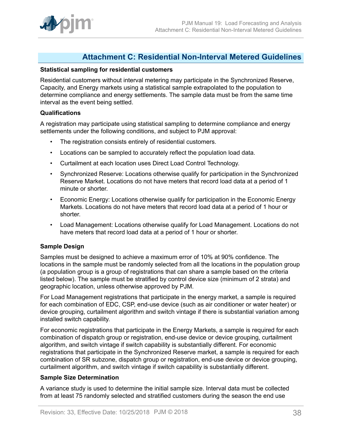

# <span id="page-37-0"></span>**Attachment C: Residential Non-Interval Metered Guidelines**

### **Statistical sampling for residential customers**

Residential customers without interval metering may participate in the Synchronized Reserve, Capacity, and Energy markets using a statistical sample extrapolated to the population to determine compliance and energy settlements. The sample data must be from the same time interval as the event being settled.

### **Qualifications**

A registration may participate using statistical sampling to determine compliance and energy settlements under the following conditions, and subject to PJM approval:

- The registration consists entirely of residential customers.
- Locations can be sampled to accurately reflect the population load data.
- Curtailment at each location uses Direct Load Control Technology.
- Synchronized Reserve: Locations otherwise qualify for participation in the Synchronized Reserve Market. Locations do not have meters that record load data at a period of 1 minute or shorter.
- Economic Energy: Locations otherwise qualify for participation in the Economic Energy Markets. Locations do not have meters that record load data at a period of 1 hour or shorter.
- Load Management: Locations otherwise qualify for Load Management. Locations do not have meters that record load data at a period of 1 hour or shorter.

## **Sample Design**

Samples must be designed to achieve a maximum error of 10% at 90% confidence. The locations in the sample must be randomly selected from all the locations in the population group (a population group is a group of registrations that can share a sample based on the criteria listed below). The sample must be stratified by control device size (minimum of 2 strata) and geographic location, unless otherwise approved by PJM.

For Load Management registrations that participate in the energy market, a sample is required for each combination of EDC, CSP, end-use device (such as air conditioner or water heater) or device grouping, curtailment algorithm and switch vintage if there is substantial variation among installed switch capability.

For economic registrations that participate in the Energy Markets, a sample is required for each combination of dispatch group or registration, end-use device or device grouping, curtailment algorithm, and switch vintage if switch capability is substantially different. For economic registrations that participate in the Synchronized Reserve market, a sample is required for each combination of SR subzone, dispatch group or registration, end-use device or device grouping, curtailment algorithm, and switch vintage if switch capability is substantially different.

### **Sample Size Determination**

A variance study is used to determine the initial sample size. Interval data must be collected from at least 75 randomly selected and stratified customers during the season the end use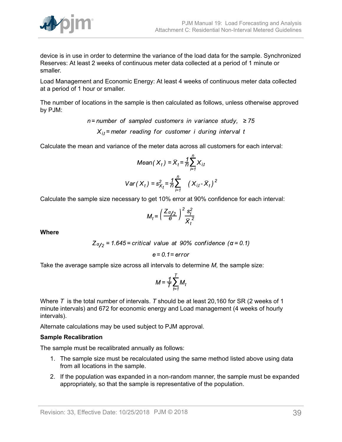

device is in use in order to determine the variance of the load data for the sample. Synchronized Reserves: At least 2 weeks of continuous meter data collected at a period of 1 minute or smaller.

Load Management and Economic Energy: At least 4 weeks of continuous meter data collected at a period of 1 hour or smaller.

The number of locations in the sample is then calculated as follows, unless otherwise approved by PJM:

> $n =$  number of sampled customers in variance study,  $\geq 75$  $X_{it}$  = meter reading for customer i during interval t

Calculate the mean and variance of the meter data across all customers for each interval:

$$
Mean(X_t) = \overline{X}_t = \frac{1}{n} \sum_{i=1}^n X_{i,t}
$$

$$
Var(X_t) = s_{X_t}^2 = \frac{1}{n} \sum_{i=1}^n (X_{i,t} - \overline{X}_t)^2
$$

Calculate the sample size necessary to get 10% error at 90% confidence for each interval:

$$
M_t = \left(\frac{Z\alpha_{12}}{\Theta}\right)^2 \frac{s_t^2}{\overline{X}_t^2}
$$

**Where**

$$
Z_{\alpha/2} = 1.645 = critical
$$
 value at 90% confidence ( $\alpha = 0.1$ )

$$
e = 0.1 = error
$$

Take the average sample size across all intervals to determine *M,* the sample size:

$$
M = \frac{1}{T} \sum_{t=1}^{T} M_t
$$

Where *T* is the total number of intervals. *T* should be at least 20,160 for SR (2 weeks of 1 minute intervals) and 672 for economic energy and Load management (4 weeks of hourly intervals).

Alternate calculations may be used subject to PJM approval.

### **Sample Recalibration**

The sample must be recalibrated annually as follows:

- 1. The sample size must be recalculated using the same method listed above using data from all locations in the sample.
- 2. If the population was expanded in a non-random manner, the sample must be expanded appropriately, so that the sample is representative of the population.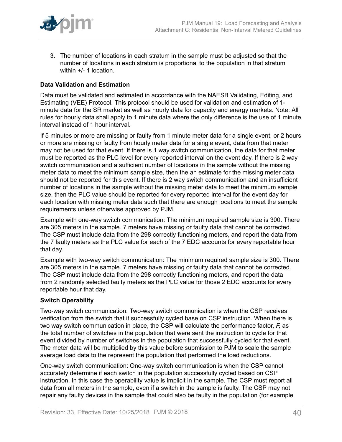

3. The number of locations in each stratum in the sample must be adjusted so that the number of locations in each stratum is proportional to the population in that stratum within +/- 1 location.

# **Data Validation and Estimation**

Data must be validated and estimated in accordance with the NAESB Validating, Editing, and Estimating (VEE) Protocol. This protocol should be used for validation and estimation of 1 minute data for the SR market as well as hourly data for capacity and energy markets. Note: All rules for hourly data shall apply to 1 minute data where the only difference is the use of 1 minute interval instead of 1 hour interval.

If 5 minutes or more are missing or faulty from 1 minute meter data for a single event, or 2 hours or more are missing or faulty from hourly meter data for a single event, data from that meter may not be used for that event. If there is 1 way switch communication, the data for that meter must be reported as the PLC level for every reported interval on the event day. If there is 2 way switch communication and a sufficient number of locations in the sample without the missing meter data to meet the minimum sample size, then the an estimate for the missing meter data should not be reported for this event. If there is 2 way switch communication and an insufficient number of locations in the sample without the missing meter data to meet the minimum sample size, then the PLC value should be reported for every reported interval for the event day for each location with missing meter data such that there are enough locations to meet the sample requirements unless otherwise approved by PJM.

Example with one-way switch communication: The minimum required sample size is 300. There are 305 meters in the sample. 7 meters have missing or faulty data that cannot be corrected. The CSP must include data from the 298 correctly functioning meters, and report the data from the 7 faulty meters as the PLC value for each of the 7 EDC accounts for every reportable hour that day.

Example with two-way switch communication: The minimum required sample size is 300. There are 305 meters in the sample. 7 meters have missing or faulty data that cannot be corrected. The CSP must include data from the 298 correctly functioning meters, and report the data from 2 randomly selected faulty meters as the PLC value for those 2 EDC accounts for every reportable hour that day.

## **Switch Operability**

Two-way switch communication: Two-way switch communication is when the CSP receives verification from the switch that it successfully cycled base on CSP instruction. When there is two way switch communication in place, the CSP will calculate the performance factor, *F,* as the total number of switches in the population that were sent the instruction to cycle for that event divided by number of switches in the population that successfully cycled for that event. The meter data will be multiplied by this value before submission to PJM to scale the sample average load data to the represent the population that performed the load reductions.

One-way switch communication: One-way switch communication is when the CSP cannot accurately determine if each switch in the population successfully cycled based on CSP instruction. In this case the operability value is implicit in the sample. The CSP must report all data from all meters in the sample, even if a switch in the sample is faulty. The CSP may not repair any faulty devices in the sample that could also be faulty in the population (for example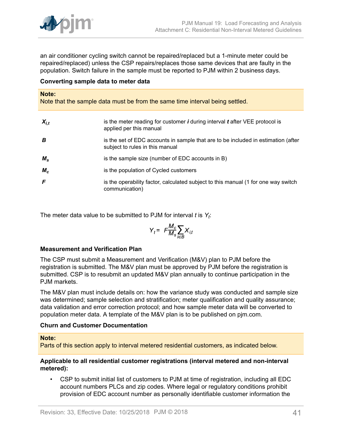

an air conditioner cycling switch cannot be repaired/replaced but a 1-minute meter could be repaired/replaced) unless the CSP repairs/replaces those same devices that are faulty in the population. Switch failure in the sample must be reported to PJM within 2 business days.

### **Converting sample data to meter data**

#### **Note:**

Note that the sample data must be from the same time interval being settled.

| $X_{i,t}$   | is the meter reading for customer $\bm{i}$ during interval $\bm{t}$ after VEE protocol is<br>applied per this manual |
|-------------|----------------------------------------------------------------------------------------------------------------------|
| B           | is the set of EDC accounts in sample that are to be included in estimation (after<br>subject to rules in this manual |
| $M_{\rm s}$ | is the sample size (number of EDC accounts in B)                                                                     |
| $M_c$       | is the population of Cycled customers                                                                                |
| F           | is the operability factor, calculated subject to this manual (1 for one way switch<br>communication)                 |

The meter data value to be submitted to PJM for interval *t* is *Y<sup>t</sup>* :

$$
Y_t = F \frac{M_c}{M_s} \sum_{i \in B} X_{i,t}
$$

### **Measurement and Verification Plan**

The CSP must submit a Measurement and Verification (M&V) plan to PJM before the registration is submitted. The M&V plan must be approved by PJM before the registration is submitted. CSP is to resubmit an updated M&V plan annually to continue participation in the PJM markets.

The M&V plan must include details on: how the variance study was conducted and sample size was determined; sample selection and stratification; meter qualification and quality assurance; data validation and error correction protocol; and how sample meter data will be converted to population meter data. A template of the M&V plan is to be published on pjm.com.

### **Churn and Customer Documentation**

### **Note:**

Parts of this section apply to interval metered residential customers, as indicated below.

### **Applicable to all residential customer registrations (interval metered and non-interval metered):**

• CSP to submit initial list of customers to PJM at time of registration, including all EDC account numbers PLCs and zip codes. Where legal or regulatory conditions prohibit provision of EDC account number as personally identifiable customer information the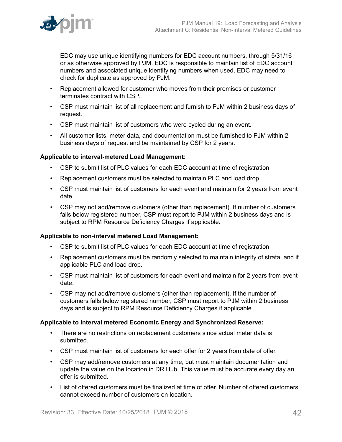

EDC may use unique identifying numbers for EDC account numbers, through 5/31/16 or as otherwise approved by PJM. EDC is responsible to maintain list of EDC account numbers and associated unique identifying numbers when used. EDC may need to check for duplicate as approved by PJM.

- Replacement allowed for customer who moves from their premises or customer terminates contract with CSP.
- CSP must maintain list of all replacement and furnish to PJM within 2 business days of request.
- CSP must maintain list of customers who were cycled during an event.
- All customer lists, meter data, and documentation must be furnished to PJM within 2 business days of request and be maintained by CSP for 2 years.

## **Applicable to interval-metered Load Management:**

- CSP to submit list of PLC values for each EDC account at time of registration.
- Replacement customers must be selected to maintain PLC and load drop.
- CSP must maintain list of customers for each event and maintain for 2 years from event date.
- CSP may not add/remove customers (other than replacement). If number of customers falls below registered number, CSP must report to PJM within 2 business days and is subject to RPM Resource Deficiency Charges if applicable.

# **Applicable to non-interval metered Load Management:**

- CSP to submit list of PLC values for each EDC account at time of registration.
- Replacement customers must be randomly selected to maintain integrity of strata, and if applicable PLC and load drop.
- CSP must maintain list of customers for each event and maintain for 2 years from event date.
- CSP may not add/remove customers (other than replacement). If the number of customers falls below registered number, CSP must report to PJM within 2 business days and is subject to RPM Resource Deficiency Charges if applicable.

## **Applicable to interval metered Economic Energy and Synchronized Reserve:**

- There are no restrictions on replacement customers since actual meter data is submitted.
- CSP must maintain list of customers for each offer for 2 years from date of offer.
- CSP may add/remove customers at any time, but must maintain documentation and update the value on the location in DR Hub. This value must be accurate every day an offer is submitted.
- List of offered customers must be finalized at time of offer. Number of offered customers cannot exceed number of customers on location.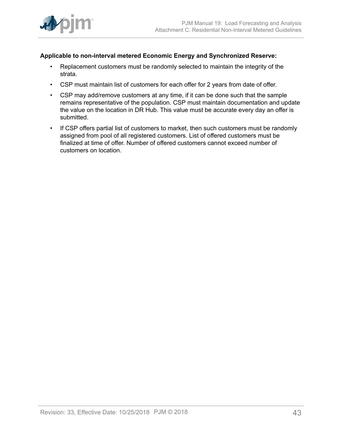

# **Applicable to non-interval metered Economic Energy and Synchronized Reserve:**

- Replacement customers must be randomly selected to maintain the integrity of the strata.
- CSP must maintain list of customers for each offer for 2 years from date of offer.
- CSP may add/remove customers at any time, if it can be done such that the sample remains representative of the population. CSP must maintain documentation and update the value on the location in DR Hub. This value must be accurate every day an offer is submitted.
- If CSP offers partial list of customers to market, then such customers must be randomly assigned from pool of all registered customers. List of offered customers must be finalized at time of offer. Number of offered customers cannot exceed number of customers on location.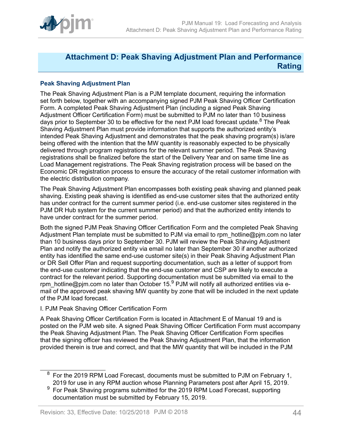

# <span id="page-43-0"></span>**Attachment D: Peak Shaving Adjustment Plan and Performance Rating**

# **Peak Shaving Adjustment Plan**

The Peak Shaving Adjustment Plan is a PJM template document, requiring the information set forth below, together with an accompanying signed PJM Peak Shaving Officer Certification Form. A completed Peak Shaving Adjustment Plan (including a signed Peak Shaving Adjustment Officer Certification Form) must be submitted to PJM no later than 10 business days prior to September 30 to be effective for the next PJM load forecast update.<sup>8</sup> The Peak Shaving Adjustment Plan must provide information that supports the authorized entity's intended Peak Shaving Adjustment and demonstrates that the peak shaving program(s) is/are being offered with the intention that the MW quantity is reasonably expected to be physically delivered through program registrations for the relevant summer period. The Peak Shaving registrations shall be finalized before the start of the Delivery Year and on same time line as Load Management registrations. The Peak Shaving registration process will be based on the Economic DR registration process to ensure the accuracy of the retail customer information with the electric distribution company.

The Peak Shaving Adjustment Plan encompasses both existing peak shaving and planned peak shaving. Existing peak shaving is identified as end-use customer sites that the authorized entity has under contract for the current summer period (i.e. end-use customer sites registered in the PJM DR Hub system for the current summer period) and that the authorized entity intends to have under contract for the summer period.

Both the signed PJM Peak Shaving Officer Certification Form and the completed Peak Shaving Adjustment Plan template must be submitted to PJM via email to rpm\_hotline@pjm.com no later than 10 business days prior to September 30. PJM will review the Peak Shaving Adjustment Plan and notify the authorized entity via email no later than September 30 if another authorized entity has identified the same end-use customer site(s) in their Peak Shaving Adjustment Plan or DR Sell Offer Plan and request supporting documentation, such as a letter of support from the end-use customer indicating that the end-use customer and CSP are likely to execute a contract for the relevant period. Supporting documentation must be submitted via email to the rpm\_hotline@pjm.com no later than October 15.<sup>9</sup> PJM will notify all authorized entities via email of the approved peak shaving MW quantity by zone that will be included in the next update of the PJM load forecast.

## I. PJM Peak Shaving Officer Certification Form

A Peak Shaving Officer Certification Form is located in Attachment E of Manual 19 and is posted on the PJM web site. A signed Peak Shaving Officer Certification Form must accompany the Peak Shaving Adjustment Plan. The Peak Shaving Officer Certification Form specifies that the signing officer has reviewed the Peak Shaving Adjustment Plan, that the information provided therein is true and correct, and that the MW quantity that will be included in the PJM

 $8$  For the 2019 RPM Load Forecast, documents must be submitted to PJM on February 1, 2019 for use in any RPM auction whose Planning Parameters post after April 15, 2019.

 $9\,$  For Peak Shaving programs submitted for the 2019 RPM Load Forecast, supporting documentation must be submitted by February 15, 2019.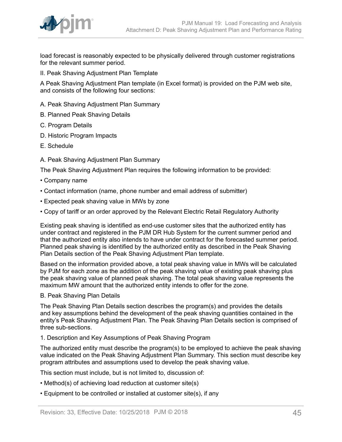

load forecast is reasonably expected to be physically delivered through customer registrations for the relevant summer period.

II. Peak Shaving Adjustment Plan Template

A Peak Shaving Adjustment Plan template (in Excel format) is provided on the PJM web site, and consists of the following four sections:

- A. Peak Shaving Adjustment Plan Summary
- B. Planned Peak Shaving Details
- C. Program Details
- D. Historic Program Impacts
- E. Schedule
- A. Peak Shaving Adjustment Plan Summary

The Peak Shaving Adjustment Plan requires the following information to be provided:

- Company name
- Contact information (name, phone number and email address of submitter)
- Expected peak shaving value in MWs by zone
- Copy of tariff or an order approved by the Relevant Electric Retail Regulatory Authority

Existing peak shaving is identified as end-use customer sites that the authorized entity has under contract and registered in the PJM DR Hub System for the current summer period and that the authorized entity also intends to have under contract for the forecasted summer period. Planned peak shaving is identified by the authorized entity as described in the Peak Shaving Plan Details section of the Peak Shaving Adjustment Plan template.

Based on the information provided above, a total peak shaving value in MWs will be calculated by PJM for each zone as the addition of the peak shaving value of existing peak shaving plus the peak shaving value of planned peak shaving. The total peak shaving value represents the maximum MW amount that the authorized entity intends to offer for the zone.

# B. Peak Shaving Plan Details

The Peak Shaving Plan Details section describes the program(s) and provides the details and key assumptions behind the development of the peak shaving quantities contained in the entity's Peak Shaving Adjustment Plan. The Peak Shaving Plan Details section is comprised of three sub-sections.

### 1. Description and Key Assumptions of Peak Shaving Program

The authorized entity must describe the program(s) to be employed to achieve the peak shaving value indicated on the Peak Shaving Adjustment Plan Summary. This section must describe key program attributes and assumptions used to develop the peak shaving value.

This section must include, but is not limited to, discussion of:

- Method(s) of achieving load reduction at customer site(s)
- Equipment to be controlled or installed at customer site(s), if any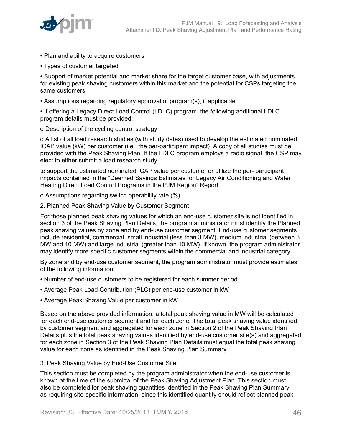

- Plan and ability to acquire customers
- Types of customer targeted

• Support of market potential and market share for the target customer base, with adjustments for existing peak shaving customers within this market and the potential for CSPs targeting the same customers

• Assumptions regarding regulatory approval of program(s), if applicable

• If offering a Legacy Direct Load Control (LDLC) program, the following additional LDLC program details must be provided:

o Description of the cycling control strategy

o A list of all load research studies (with study dates) used to develop the estimated nominated ICAP value (kW) per customer (i.e., the per-participant impact). A copy of all studies must be provided with the Peak Shaving Plan. If the LDLC program employs a radio signal, the CSP may elect to either submit a load research study

to support the estimated nominated ICAP value per customer or utilize the per- participant impacts contained in the "Deemed Savings Estimates for Legacy Air Conditioning and Water Heating Direct Load Control Programs in the PJM Region" Report.

o Assumptions regarding switch operability rate (%)

2. Planned Peak Shaving Value by Customer Segment

For those planned peak shaving values for which an end-use customer site is not identified in section 3 of the Peak Shaving Plan Details, the program administrator must identify the Planned peak shaving values by zone and by end-use customer segment. End-use customer segments include residential, commercial, small industrial (less than 3 MW), medium industrial (between 3 MW and 10 MW) and large industrial (greater than 10 MW). If known, the program administrator may identify more specific customer segments within the commercial and industrial category.

By zone and by end-use customer segment, the program administrator must provide estimates of the following information:

- Number of end-use customers to be registered for each summer period
- Average Peak Load Contribution (PLC) per end-use customer in kW
- Average Peak Shaving Value per customer in kW

Based on the above provided information, a total peak shaving value in MW will be calculated for each end-use customer segment and for each zone. The total peak shaving value identified by customer segment and aggregated for each zone in Section 2 of the Peak Shaving Plan Details plus the total peak shaving values identified by end-use customer site(s) and aggregated for each zone in Section 3 of the Peak Shaving Plan Details must equal the total peak shaving value for each zone as identified in the Peak Shaving Plan Summary.

3. Peak Shaving Value by End-Use Customer Site

This section must be completed by the program administrator when the end-use customer is known at the time of the submittal of the Peak Shaving Adjustment Plan. This section must also be completed for peak shaving quantities identified in the Peak Shaving Plan Summary as requiring site-specific information, since this identified quantity should reflect planned peak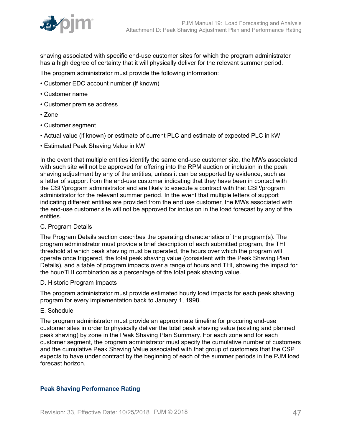

shaving associated with specific end-use customer sites for which the program administrator has a high degree of certainty that it will physically deliver for the relevant summer period.

The program administrator must provide the following information:

- Customer EDC account number (if known)
- Customer name
- Customer premise address
- Zone
- Customer segment
- Actual value (if known) or estimate of current PLC and estimate of expected PLC in kW
- Estimated Peak Shaving Value in kW

In the event that multiple entities identify the same end-use customer site, the MWs associated with such site will not be approved for offering into the RPM auction or inclusion in the peak shaving adjustment by any of the entities, unless it can be supported by evidence, such as a letter of support from the end-use customer indicating that they have been in contact with the CSP/program administrator and are likely to execute a contract with that CSP/program administrator for the relevant summer period. In the event that multiple letters of support indicating different entities are provided from the end use customer, the MWs associated with the end-use customer site will not be approved for inclusion in the load forecast by any of the entities.

C. Program Details

The Program Details section describes the operating characteristics of the program(s). The program administrator must provide a brief description of each submitted program, the THI threshold at which peak shaving must be operated, the hours over which the program will operate once triggered, the total peak shaving value (consistent with the Peak Shaving Plan Details), and a table of program impacts over a range of hours and THI, showing the impact for the hour/THI combination as a percentage of the total peak shaving value.

D. Historic Program Impacts

The program administrator must provide estimated hourly load impacts for each peak shaving program for every implementation back to January 1, 1998.

### E. Schedule

The program administrator must provide an approximate timeline for procuring end-use customer sites in order to physically deliver the total peak shaving value (existing and planned peak shaving) by zone in the Peak Shaving Plan Summary. For each zone and for each customer segment, the program administrator must specify the cumulative number of customers and the cumulative Peak Shaving Value associated with that group of customers that the CSP expects to have under contract by the beginning of each of the summer periods in the PJM load forecast horizon.

## **Peak Shaving Performance Rating**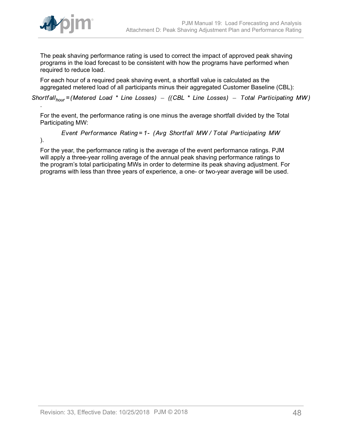

The peak shaving performance rating is used to correct the impact of approved peak shaving programs in the load forecast to be consistent with how the programs have performed when required to reduce load.

For each hour of a required peak shaving event, a shortfall value is calculated as the aggregated metered load of all participants minus their aggregated Customer Baseline (CBL):

Shortfall<sub>hour</sub> = (Metered Load \* Line Losses) – ((CBL \* Line Losses) – Total Participating MW)

For the event, the performance rating is one minus the average shortfall divided by the Total Participating MW:

Event Performance Rating = 1- (Avg Shortfall MW / Total Participating MW

).

.

For the year, the performance rating is the average of the event performance ratings. PJM will apply a three-year rolling average of the annual peak shaving performance ratings to the program's total participating MWs in order to determine its peak shaving adjustment. For programs with less than three years of experience, a one- or two-year average will be used.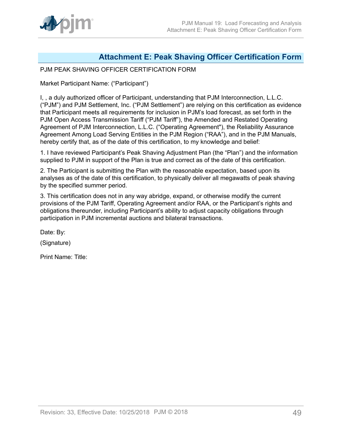# <span id="page-48-0"></span>**Attachment E: Peak Shaving Officer Certification Form**

# PJM PEAK SHAVING OFFICER CERTIFICATION FORM

Market Participant Name: ("Participant")

I, , a duly authorized officer of Participant, understanding that PJM Interconnection, L.L.C. ("PJM") and PJM Settlement, Inc. ("PJM Settlement") are relying on this certification as evidence that Participant meets all requirements for inclusion in PJM's load forecast, as set forth in the PJM Open Access Transmission Tariff ("PJM Tariff"), the Amended and Restated Operating Agreement of PJM Interconnection, L.L.C. ("Operating Agreement"), the Reliability Assurance Agreement Among Load Serving Entities in the PJM Region ("RAA"), and in the PJM Manuals, hereby certify that, as of the date of this certification, to my knowledge and belief:

1. I have reviewed Participant's Peak Shaving Adjustment Plan (the "Plan") and the information supplied to PJM in support of the Plan is true and correct as of the date of this certification.

2. The Participant is submitting the Plan with the reasonable expectation, based upon its analyses as of the date of this certification, to physically deliver all megawatts of peak shaving by the specified summer period.

3. This certification does not in any way abridge, expand, or otherwise modify the current provisions of the PJM Tariff, Operating Agreement and/or RAA, or the Participant's rights and obligations thereunder, including Participant's ability to adjust capacity obligations through participation in PJM incremental auctions and bilateral transactions.

Date: By:

(Signature)

Print Name: Title: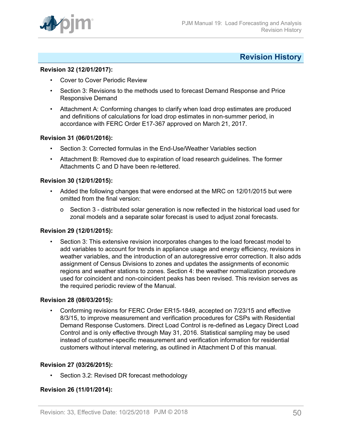

# <span id="page-49-0"></span>**Revision History**

### **Revision 32 (12/01/2017):**

- Cover to Cover Periodic Review
- Section 3: Revisions to the methods used to forecast Demand Response and Price Responsive Demand
- Attachment A: Conforming changes to clarify when load drop estimates are produced and definitions of calculations for load drop estimates in non-summer period, in accordance with FERC Order E17-367 approved on March 21, 2017.

### **Revision 31 (06/01/2016):**

- Section 3: Corrected formulas in the End-Use/Weather Variables section
- Attachment B: Removed due to expiration of load research guidelines. The former Attachments C and D have been re-lettered.

### **Revision 30 (12/01/2015):**

- Added the following changes that were endorsed at the MRC on 12/01/2015 but were omitted from the final version:
	- o Section 3 distributed solar generation is now reflected in the historical load used for zonal models and a separate solar forecast is used to adjust zonal forecasts.

# **Revision 29 (12/01/2015):**

• Section 3: This extensive revision incorporates changes to the load forecast model to add variables to account for trends in appliance usage and energy efficiency, revisions in weather variables, and the introduction of an autoregressive error correction. It also adds assignment of Census Divisions to zones and updates the assignments of economic regions and weather stations to zones. Section 4: the weather normalization procedure used for coincident and non-coincident peaks has been revised. This revision serves as the required periodic review of the Manual.

### **Revision 28 (08/03/2015):**

• Conforming revisions for FERC Order ER15-1849, accepted on 7/23/15 and effective 8/3/15, to improve measurement and verification procedures for CSPs with Residential Demand Response Customers. Direct Load Control is re-defined as Legacy Direct Load Control and is only effective through May 31, 2016. Statistical sampling may be used instead of customer-specific measurement and verification information for residential customers without interval metering, as outlined in Attachment D of this manual.

### **Revision 27 (03/26/2015):**

Section 3.2: Revised DR forecast methodology

## **Revision 26 (11/01/2014):**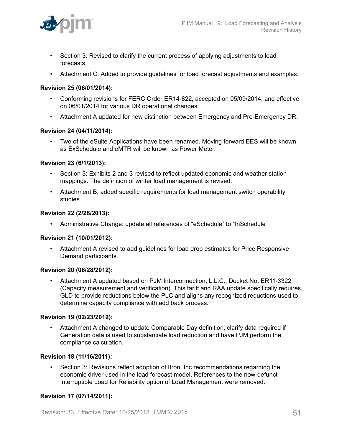

- Section 3: Revised to clarify the current process of applying adjustments to load forecasts.
- Attachment C: Added to provide guidelines for load forecast adjustments and examples.

# **Revision 25 (06/01/2014):**

- Conforming revisions for FERC Order ER14-822, accepted on 05/09/2014, and effective on 06/01/2014 for various DR operational changes.
- Attachment A updated for new distinction between Emergency and Pre-Emergency DR.

## **Revision 24 (04/11/2014):**

• Two of the eSuite Applications have been renamed. Moving forward EES will be known as ExSchedule and eMTR will be known as Power Meter.

### **Revision 23 (6/1/2013):**

- Section 3: Exhibits 2 and 3 revised to reflect updated economic and weather station mappings. The definition of winter load management is revised.
- Attachment B; added specific requirements for load management switch operability studies.

### **Revision 22 (2/28/2013):**

• Administrative Change: update all references of "eSchedule" to "InSchedule"

## **Revision 21 (10/01/2012):**

• Attachment A revised to add guidelines for load drop estimates for Price Responsive Demand participants.

### **Revision 20 (06/28/2012):**

• Attachment A updated based on PJM Interconnection, L.L.C., Docket No. ER11-3322 (Capacity measurement and verification). This tariff and RAA update specifically requires GLD to provide reductions below the PLC and aligns any recognized reductions used to determine capacity compliance with add back process.

### **Revision 19 (02/23/2012):**

• Attachment A changed to update Comparable Day definition, clarify data required if Generation data is used to substantiate load reduction and have PJM perform the compliance calculation.

### **Revision 18 (11/16/2011):**

• Section 3: Revisions reflect adoption of Itron, Inc recommendations regarding the economic driver used in the load forecast model. References to the now-defunct Interruptible Load for Reliability option of Load Management were removed.

## **Revision 17 (07/14/2011):**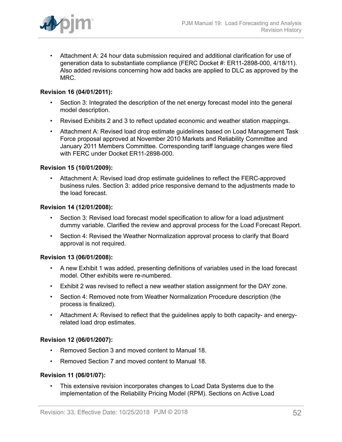

• Attachment A: 24 hour data submission required and additional clarification for use of generation data to substantiate compliance (FERC Docket #: ER11-2898-000, 4/18/11). Also added revisions concerning how add backs are applied to DLC as approved by the MRC.

# **Revision 16 (04/01/2011):**

- Section 3: Integrated the description of the net energy forecast model into the general model description.
- Revised Exhibits 2 and 3 to reflect updated economic and weather station mappings.
- Attachment A: Revised load drop estimate guidelines based on Load Management Task Force proposal approved at November 2010 Markets and Reliability Committee and January 2011 Members Committee. Corresponding tariff language changes were filed with FERC under Docket ER11-2898-000.

## **Revision 15 (10/01/2009):**

• Attachment A: Revised load drop estimate guidelines to reflect the FERC-approved business rules. Section 3: added price responsive demand to the adjustments made to the load forecast.

### **Revision 14 (12/01/2008):**

- Section 3: Revised load forecast model specification to allow for a load adjustment dummy variable. Clarified the review and approval process for the Load Forecast Report.
- Section 4: Revised the Weather Normalization approval process to clarify that Board approval is not required.

## **Revision 13 (06/01/2008):**

- A new Exhibit 1 was added, presenting definitions of variables used in the load forecast model. Other exhibits were re-numbered.
- Exhibit 2 was revised to reflect a new weather station assignment for the DAY zone.
- Section 4: Removed note from Weather Normalization Procedure description (the process is finalized).
- Attachment A: Revised to reflect that the guidelines apply to both capacity- and energyrelated load drop estimates.

## **Revision 12 (06/01/2007):**

- Removed Section 3 and moved content to Manual 18.
- Removed Section 7 and moved content to Manual 18.

### **Revision 11 (06/01/07):**

• This extensive revision incorporates changes to Load Data Systems due to the implementation of the Reliability Pricing Model (RPM). Sections on Active Load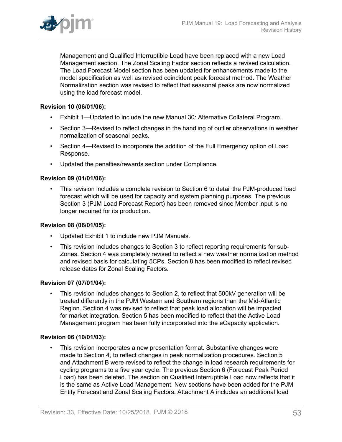

Management and Qualified Interruptible Load have been replaced with a new Load Management section. The Zonal Scaling Factor section reflects a revised calculation. The Load Forecast Model section has been updated for enhancements made to the model specification as well as revised coincident peak forecast method. The Weather Normalization section was revised to reflect that seasonal peaks are now normalized using the load forecast model.

### **Revision 10 (06/01/06):**

- Exhibit 1—Updated to include the new Manual 30: Alternative Collateral Program.
- Section 3—Revised to reflect changes in the handling of outlier observations in weather normalization of seasonal peaks.
- Section 4—Revised to incorporate the addition of the Full Emergency option of Load Response.
- Updated the penalties/rewards section under Compliance.

### **Revision 09 (01/01/06):**

• This revision includes a complete revision to Section 6 to detail the PJM-produced load forecast which will be used for capacity and system planning purposes. The previous Section 3 (PJM Load Forecast Report) has been removed since Member input is no longer required for its production.

### **Revision 08 (06/01/05):**

- Updated Exhibit 1 to include new PJM Manuals.
- This revision includes changes to Section 3 to reflect reporting requirements for sub-Zones. Section 4 was completely revised to reflect a new weather normalization method and revised basis for calculating 5CPs. Section 8 has been modified to reflect revised release dates for Zonal Scaling Factors.

### **Revision 07 (07/01/04):**

• This revision includes changes to Section 2, to reflect that 500kV generation will be treated differently in the PJM Western and Southern regions than the Mid-Atlantic Region. Section 4 was revised to reflect that peak load allocation will be impacted for market integration. Section 5 has been modified to reflect that the Active Load Management program has been fully incorporated into the eCapacity application.

### **Revision 06 (10/01/03):**

• This revision incorporates a new presentation format. Substantive changes were made to Section 4, to reflect changes in peak normalization procedures. Section 5 and Attachment B were revised to reflect the change in load research requirements for cycling programs to a five year cycle. The previous Section 6 (Forecast Peak Period Load) has been deleted. The section on Qualified Interruptible Load now reflects that it is the same as Active Load Management. New sections have been added for the PJM Entity Forecast and Zonal Scaling Factors. Attachment A includes an additional load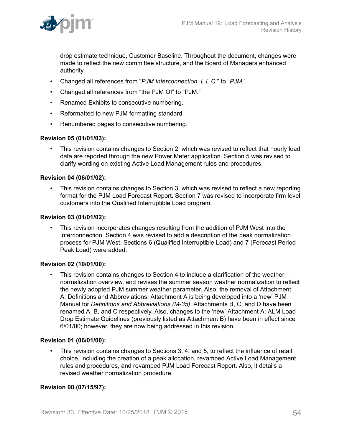

drop estimate technique, Customer Baseline. Throughout the document, changes were made to reflect the new committee structure, and the Board of Managers enhanced authority.

- Changed all references from "*PJM Interconnection, L.L.C.*" to "*PJM.*"
- Changed all references from "the PJM OI" to "PJM."
- Renamed Exhibits to consecutive numbering.
- Reformatted to new PJM formatting standard.
- Renumbered pages to consecutive numbering.

## **Revision 05 (01/01/03):**

• This revision contains changes to Section 2, which was revised to reflect that hourly load data are reported through the new Power Meter application. Section 5 was revised to clarify wording on existing Active Load Management rules and procedures.

### **Revision 04 (06/01/02):**

• This revision contains changes to Section 3, which was revised to reflect a new reporting format for the PJM Load Forecast Report. Section 7 was revised to incorporate firm level customers into the Qualified Interruptible Load program.

### **Revision 03 (01/01/02):**

• This revision incorporates changes resulting from the addition of PJM West into the Interconnection. Section 4 was revised to add a description of the peak normalization process for PJM West. Sections 6 (Qualified Interruptible Load) and 7 (Forecast Period Peak Load) were added.

### **Revision 02 (10/01/00):**

• This revision contains changes to Section 4 to include a clarification of the weather normalization overview, and revises the summer season weather normalization to reflect the newly adopted PJM summer weather parameter. Also, the removal of Attachment A: Definitions and Abbreviations. Attachment A is being developed into a 'new' PJM Manual for *Definitions and Abbreviations (M-35)*. Attachments B, C, and D have been renamed A, B, and C respectively. Also, changes to the 'new' Attachment A: ALM Load Drop Estimate Guidelines (previously listed as Attachment B) have been in effect since 6/01/00; however, they are now being addressed in this revision.

### **Revision 01 (06/01/00):**

• This revision contains changes to Sections 3, 4, and 5, to reflect the influence of retail choice, including the creation of a peak allocation, revamped Active Load Management rules and procedures, and revamped PJM Load Forecast Report. Also, it details a revised weather normalization procedure.

## **Revision 00 (07/15/97):**